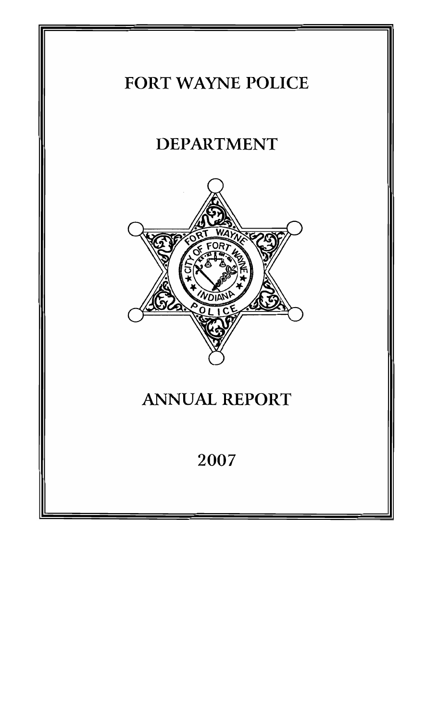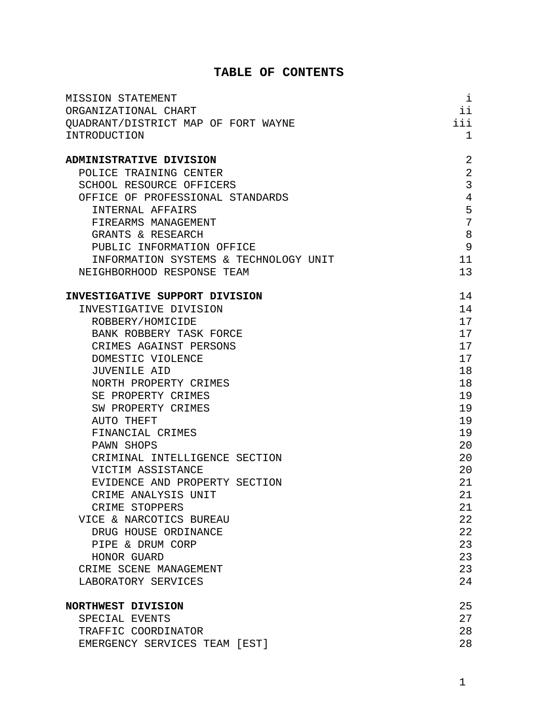## **TABLE OF CONTENTS**

| MISSION STATEMENT                     | i   |
|---------------------------------------|-----|
| ORGANIZATIONAL CHART                  | ii  |
| OUADRANT/DISTRICT MAP OF FORT WAYNE   | iii |
| INTRODUCTION                          | 1   |
|                                       |     |
| ADMINISTRATIVE DIVISION               | 2   |
| POLICE TRAINING CENTER                | 2   |
| SCHOOL RESOURCE OFFICERS              | 3   |
| OFFICE OF PROFESSIONAL STANDARDS      | 4   |
| <b>INTERNAL AFFAIRS</b>               | 5   |
| FIREARMS MANAGEMENT                   | 7   |
| GRANTS & RESEARCH                     | 8   |
| PUBLIC INFORMATION OFFICE             | 9   |
| INFORMATION SYSTEMS & TECHNOLOGY UNIT | 11  |
| NEIGHBORHOOD RESPONSE TEAM            | 13  |
| INVESTIGATIVE SUPPORT DIVISION        | 14  |
| INVESTIGATIVE DIVISION                | 14  |
| ROBBERY/HOMICIDE                      | 17  |
| BANK ROBBERY TASK FORCE               | 17  |
| CRIMES AGAINST PERSONS                | 17  |
| DOMESTIC VIOLENCE                     | 17  |
| JUVENILE AID                          | 18  |
| NORTH PROPERTY CRIMES                 | 18  |
| SE PROPERTY CRIMES                    | 19  |
| SW PROPERTY CRIMES                    | 19  |
| AUTO THEFT                            | 19  |
| FINANCIAL CRIMES                      | 19  |
| PAWN SHOPS                            | 20  |
| CRIMINAL INTELLIGENCE SECTION         | 20  |
| VICTIM ASSISTANCE                     | 20  |
| EVIDENCE AND PROPERTY SECTION         | 21  |
| CRIME ANALYSIS UNIT                   | 21  |
| CRIME STOPPERS                        | 21  |
| VICE & NARCOTICS BUREAU               | 22  |
| DRUG HOUSE ORDINANCE                  | 22  |
| PIPE & DRUM CORP                      | 23  |
| HONOR GUARD                           | 23  |
| CRIME SCENE MANAGEMENT                | 23  |
| LABORATORY SERVICES                   | 24  |
| NORTHWEST DIVISION                    | 25  |
| SPECIAL EVENTS                        | 27  |
| TRAFFIC COORDINATOR                   | 28  |
| EMERGENCY SERVICES TEAM [EST]         | 28  |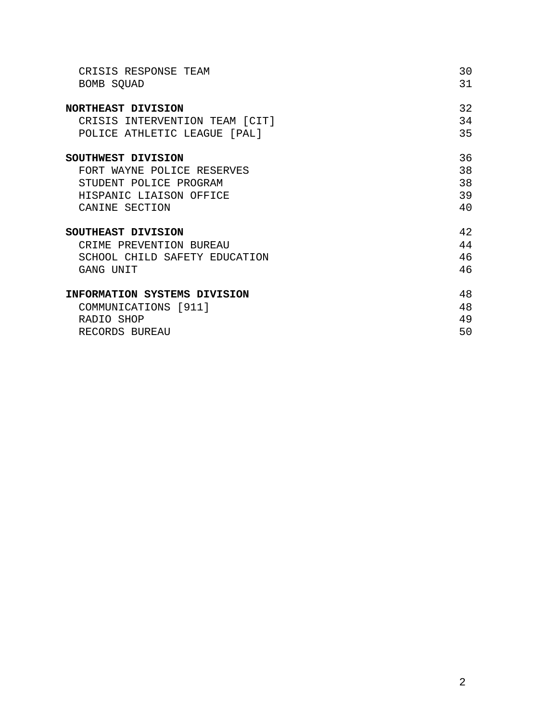| CRISIS RESPONSE TEAM           | 30 |
|--------------------------------|----|
| BOMB SQUAD                     | 31 |
| NORTHEAST DIVISION             | 32 |
| CRISIS INTERVENTION TEAM [CIT] | 34 |
| POLICE ATHLETIC LEAGUE [PAL]   | 35 |
| SOUTHWEST DIVISION             | 36 |
| FORT WAYNE POLICE RESERVES     | 38 |
| STUDENT POLICE PROGRAM         | 38 |
| HISPANIC LIAISON OFFICE        | 39 |
| CANINE SECTION                 | 40 |
| SOUTHEAST DIVISION             | 42 |
| CRIME PREVENTION BUREAU        | 44 |
| SCHOOL CHILD SAFETY EDUCATION  | 46 |
| GANG UNIT                      | 46 |
| INFORMATION SYSTEMS DIVISION   | 48 |
| COMMUNICATIONS [911]           | 48 |
| RADIO SHOP                     | 49 |
| RECORDS BUREAU                 | 50 |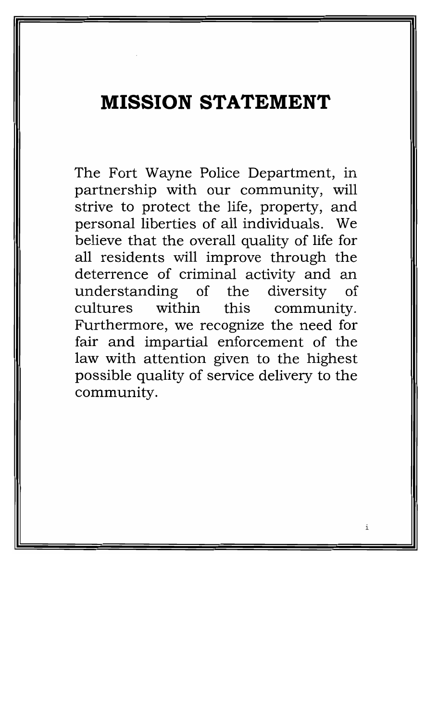# **MISSION STATEMENT**

The Fort Wayne Police Department, in partnership with our community, will strive to protect the life, property, and personal liberties of all individuals. We believe that the overall quality of life for all residents will improve through the deterrence of criminal activity and an understanding of the diversity  $\alpha$ f within cultures this community. Furthermore, we recognize the need for fair and impartial enforcement of the law with attention given to the highest possible quality of service delivery to the community.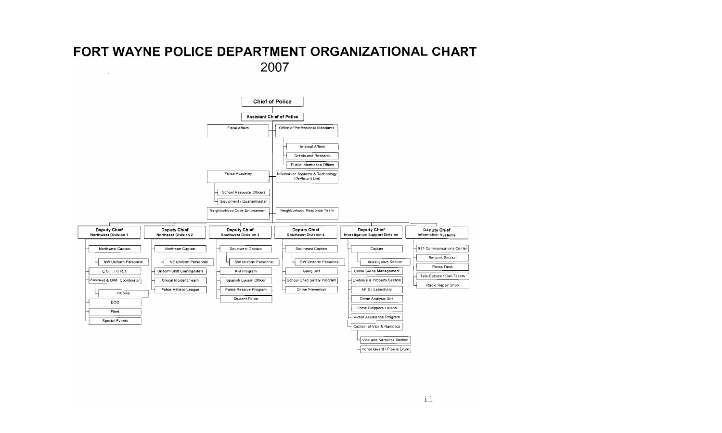## FORT WAYNE POLICE DEPARTMENT ORGANIZATIONAL CHART 2007  $\bar{z}$

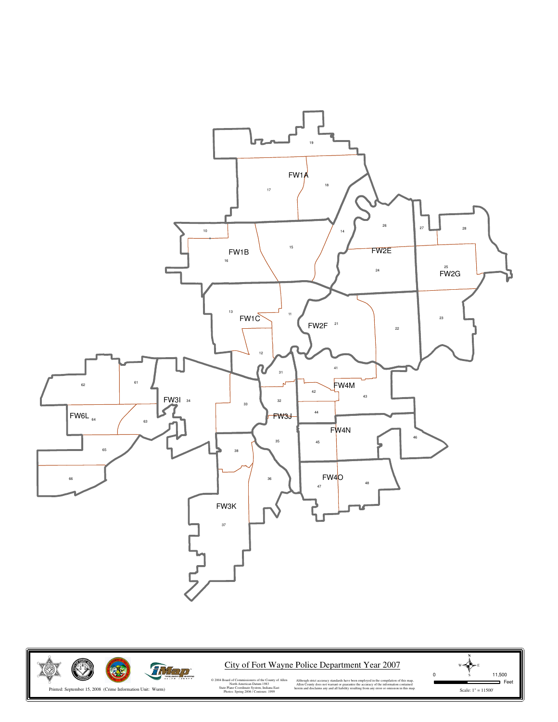



City of Fort Wayne Police Department Year 2007

Scale: 1" = 11500'  $W \leftarrow \sum_{S} E$ <br>0 11,500  $\equiv$ Feet

© 2004 Board of Commissioners of the County of Allen North American Datum 1983 State Plane Coordinate System, Indiana East Photos: Spring 2006 / Contours: 1999

Although strict accuracy standards have been employed in the compilation of this map,<br>Allen County does not warrant or guarantee the accuracy of the information contained<br>herein and disclaims any and all liability resultin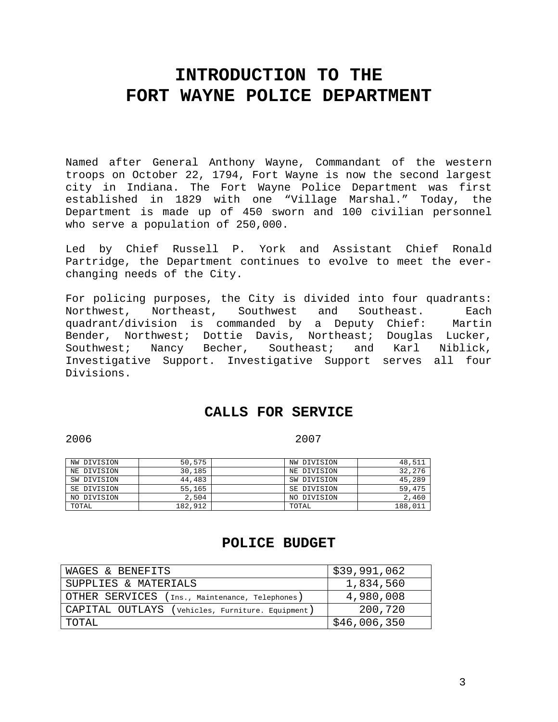## **INTRODUCTION TO THE FORT WAYNE POLICE DEPARTMENT**

Named after General Anthony Wayne, Commandant of the western troops on October 22, 1794, Fort Wayne is now the second largest city in Indiana. The Fort Wayne Police Department was first established in 1829 with one "Village Marshal." Today, the Department is made up of 450 sworn and 100 civilian personnel who serve a population of 250,000.

Led by Chief Russell P. York and Assistant Chief Ronald Partridge, the Department continues to evolve to meet the everchanging needs of the City.

For policing purposes, the City is divided into four quadrants: Northwest, Northeast, Southwest and Southeast. Each quadrant/division is commanded by a Deputy Chief: Martin Bender, Northwest; Dottie Davis, Northeast; Douglas Lucker, Southwest; Nancy Becher, Southeast; and Karl Niblick, Investigative Support. Investigative Support serves all four Divisions.

## **CALLS FOR SERVICE**

2006 2007

| NW DIVISION | 50,575  | NW DIVISION | 48,511  |
|-------------|---------|-------------|---------|
| NE DIVISION | 30,185  | NE DIVISION | 32,276  |
| SW DIVISION | 44,483  | SW DIVISION | 45,289  |
| SE DIVISION | 55,165  | SE DIVISION | 59,475  |
| NO DIVISION | 2,504   | NO DIVISION | 2,460   |
| TOTAL       | 182,912 | TOTAL       | 188,011 |

## **POLICE BUDGET**

| WAGES & BENEFITS                                 | \$39,991,062 |
|--------------------------------------------------|--------------|
| SUPPLIES & MATERIALS                             | 1,834,560    |
| OTHER SERVICES (Ins., Maintenance, Telephones)   | 4,980,008    |
| CAPITAL OUTLAYS (Vehicles, Furniture. Equipment) | 200,720      |
| TOTAL                                            | \$46,006,350 |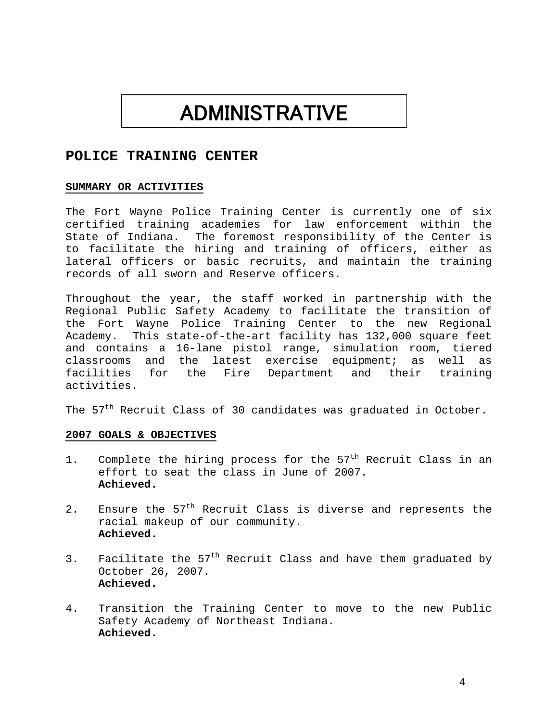# ADMINISTRATIVE

## **POLICE TRAINING CENTER**

### **SUMMARY OR ACTIVITIES**

The Fort Wayne Police Training Center is currently one of six certified training academies for law enforcement within the State of Indiana. The foremost responsibility of the Center is to facilitate the hiring and training of officers, either as lateral officers or basic recruits, and maintain the training records of all sworn and Reserve officers.

Throughout the year, the staff worked in partnership with the Regional Public Safety Academy to facilitate the transition of the Fort Wayne Police Training Center to the new Regional Academy. This state-of-the-art facility has 132,000 square feet and contains a 16-lane pistol range, simulation room, tiered classrooms and the latest exercise equipment; as well as facilities for the Fire Department and their training activities.

The  $57<sup>th</sup>$  Recruit Class of 30 candidates was graduated in October.

- 1. Complete the hiring process for the 57<sup>th</sup> Recruit Class in an effort to seat the class in June of 2007. **Achieved.**
- 2. Ensure the  $57<sup>th</sup>$  Recruit Class is diverse and represents the racial makeup of our community. **Achieved.**
- 3. Facilitate the  $57<sup>th</sup>$  Recruit Class and have them graduated by October 26, 2007. **Achieved.**
- 4. Transition the Training Center to move to the new Public Safety Academy of Northeast Indiana. **Achieved.**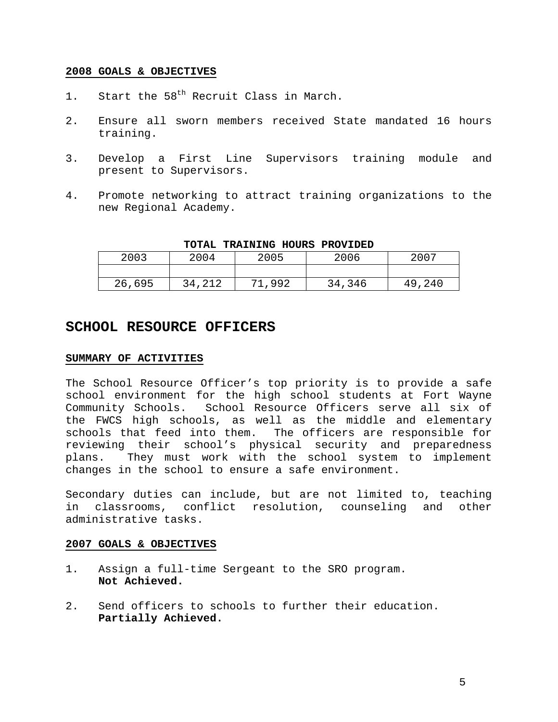- 1. Start the 58<sup>th</sup> Recruit Class in March.
- 2. Ensure all sworn members received State mandated 16 hours training.
- 3. Develop a First Line Supervisors training module and present to Supervisors.
- 4. Promote networking to attract training organizations to the new Regional Academy.

| 2003   | 2004   | 2005  | 2006   | 2007   |
|--------|--------|-------|--------|--------|
|        |        |       |        |        |
| 26,695 | 34,212 | .,992 | 34,346 | 49,240 |

### **TOTAL TRAINING HOURS PROVIDED**

## **SCHOOL RESOURCE OFFICERS**

### **SUMMARY OF ACTIVITIES**

The School Resource Officer's top priority is to provide a safe school environment for the high school students at Fort Wayne Community Schools. School Resource Officers serve all six of the FWCS high schools, as well as the middle and elementary schools that feed into them. The officers are responsible for reviewing their school's physical security and preparedness plans. They must work with the school system to implement changes in the school to ensure a safe environment.

Secondary duties can include, but are not limited to, teaching in classrooms, conflict resolution, counseling and other administrative tasks.

- 1. Assign a full-time Sergeant to the SRO program. **Not Achieved.**
- 2. Send officers to schools to further their education. **Partially Achieved.**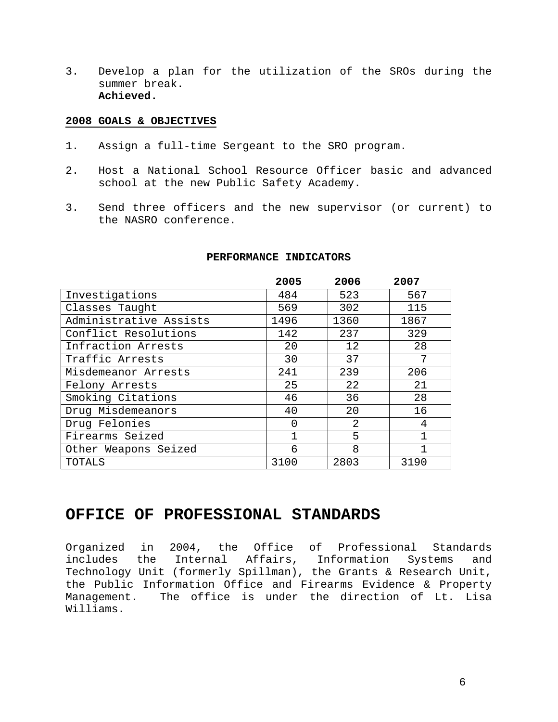3. Develop a plan for the utilization of the SROs during the summer break. **Achieved.** 

### **2008 GOALS & OBJECTIVES**

- 1. Assign a full-time Sergeant to the SRO program.
- 2. Host a National School Resource Officer basic and advanced school at the new Public Safety Academy.
- 3. Send three officers and the new supervisor (or current) to the NASRO conference.

|                        | 2005 | 2006 | 2007 |
|------------------------|------|------|------|
| Investigations         | 484  | 523  | 567  |
| Classes Taught         | 569  | 302  | 115  |
| Administrative Assists | 1496 | 1360 | 1867 |
| Conflict Resolutions   | 142  | 237  | 329  |
| Infraction Arrests     | 20   | 12   | 28   |
| Traffic Arrests        | 30   | 37   | 7    |
| Misdemeanor Arrests    | 241  | 239  | 206  |
| Felony Arrests         | 25   | 22   | 21   |
| Smoking Citations      | 46   | 36   | 28   |
| Drug Misdemeanors      | 40   | 20   | 16   |
| Drug Felonies          | 0    | 2    | 4    |
| Firearms Seized        | 1    | 5    |      |
| Other Weapons Seized   | 6    | 8    |      |
| TOTALS                 | 3100 | 2803 | 3190 |

### **PERFORMANCE INDICATORS**

## **OFFICE OF PROFESSIONAL STANDARDS**

Organized in 2004, the Office of Professional Standards includes the Internal Affairs, Information Systems and Technology Unit (formerly Spillman), the Grants & Research Unit, the Public Information Office and Firearms Evidence & Property Management. The office is under the direction of Lt. Lisa Williams.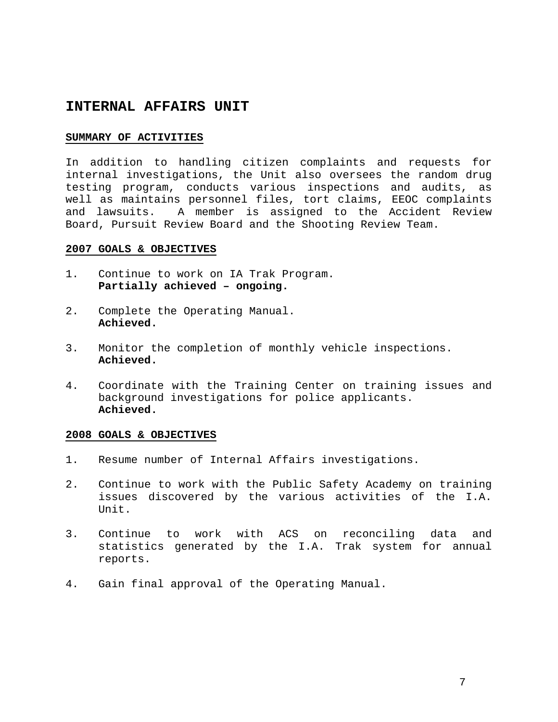## **INTERNAL AFFAIRS UNIT**

### **SUMMARY OF ACTIVITIES**

In addition to handling citizen complaints and requests for internal investigations, the Unit also oversees the random drug testing program, conducts various inspections and audits, as well as maintains personnel files, tort claims, EEOC complaints and lawsuits. A member is assigned to the Accident Review Board, Pursuit Review Board and the Shooting Review Team.

### **2007 GOALS & OBJECTIVES**

- 1. Continue to work on IA Trak Program. **Partially achieved – ongoing.**
- 2. Complete the Operating Manual. **Achieved.**
- 3. Monitor the completion of monthly vehicle inspections. **Achieved.**
- 4. Coordinate with the Training Center on training issues and background investigations for police applicants. **Achieved.**

- 1. Resume number of Internal Affairs investigations.
- 2. Continue to work with the Public Safety Academy on training issues discovered by the various activities of the I.A. Unit.
- 3. Continue to work with ACS on reconciling data and statistics generated by the I.A. Trak system for annual reports.
- 4. Gain final approval of the Operating Manual.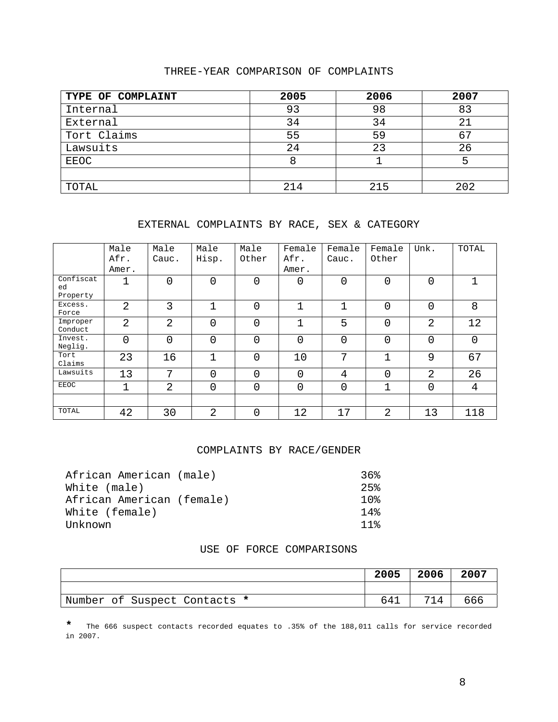### THREE-YEAR COMPARISON OF COMPLAINTS

| TYPE OF COMPLAINT | 2005 | 2006 | 2007 |
|-------------------|------|------|------|
| Internal          | 93   | 98   | 83   |
| External          | 34   | 34   | 21   |
| Tort Claims       | 55   | 59   |      |
| Lawsuits          | 24   | 23   | 26   |
| EEOC              |      |      |      |
|                   |      |      |      |
| TOTAL             | 214  | 215  | 202  |

### EXTERNAL COMPLAINTS BY RACE, SEX & CATEGORY

|                     | Male           | Male           | Male  | Male           | Female         | Female | Female   | Unk.           | TOTAL |
|---------------------|----------------|----------------|-------|----------------|----------------|--------|----------|----------------|-------|
|                     | Afr.           | Cauc.          | Hisp. | Other          | Afr.           | Cauc.  | Other    |                |       |
|                     | Amer.          |                |       |                | Amer.          |        |          |                |       |
| Confiscat<br>ed     | 1              | $\Omega$       | 0     | $\overline{0}$ | $\Omega$       | 0      | $\Omega$ | $\Omega$       |       |
| Property            |                |                |       |                |                |        |          |                |       |
| Excess.<br>Force    | $\overline{2}$ | 3              | ٦     | $\overline{0}$ | 1              | 1      | 0        | 0              | 8     |
| Improper<br>Conduct | $\overline{2}$ | 2              | 0     | $\overline{0}$ | 1              | 5      | 0        | $\overline{2}$ | 12    |
| Invest.<br>Neglig.  | $\mathbf 0$    | 0              | 0     | $\overline{0}$ | $\overline{0}$ | 0      | 0        | 0              | 0     |
| Tort<br>Claims      | 23             | 16             | 1     | $\overline{0}$ | 10             | 7      | 1        | 9              | 67    |
| Lawsuits            | 13             | 7              | 0     | 0              | $\overline{0}$ | 4      | 0        | 2              | 26    |
| <b>EEOC</b>         | 1              | $\overline{2}$ | 0     | $\overline{0}$ | $\mathbf 0$    | 0      | 1        | $\mathbf 0$    | 4     |
|                     |                |                |       |                |                |        |          |                |       |
| TOTAL               | 42             | 30             | 2     | 0              | 12             | 17     | 2        | 13             | 118   |

### COMPLAINTS BY RACE/GENDER

| African American (male)   | 36%             |
|---------------------------|-----------------|
| White (male)              | 25              |
| African American (female) |                 |
| White (female)            | 14              |
| Unknown                   | 11 <sub>8</sub> |

### USE OF FORCE COMPARISONS

|                              | 2005 | $\begin{array}{c} \begin{array}{c} \end{array} \end{array}$ | 2007 |
|------------------------------|------|-------------------------------------------------------------|------|
|                              |      |                                                             |      |
| Number of Suspect Contacts * | 641  | 714                                                         | 666  |

**\*** The 666 suspect contacts recorded equates to .35% of the 188,011 calls for service recorded in 2007.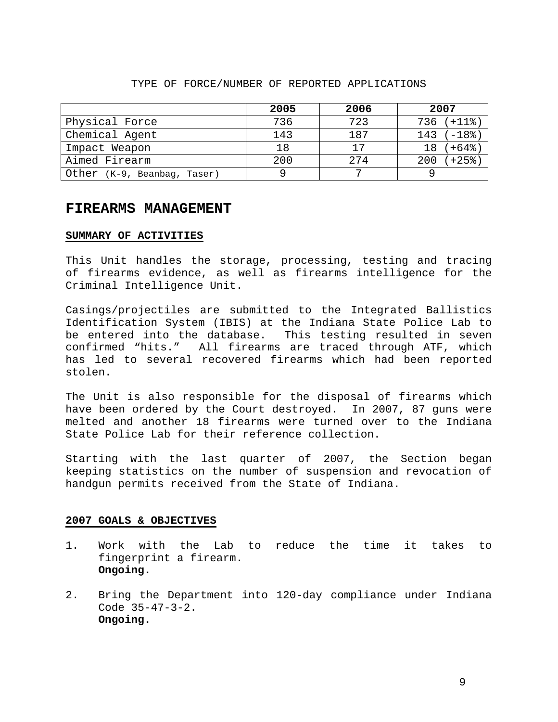|                             | 2005 | 2006 | 2007              |
|-----------------------------|------|------|-------------------|
| Physical Force              | 736  | 723  | $736 (+118)$      |
| Chemical Agent              | 143  | 187  | $143 (+18)$       |
| Impact Weapon               | 18   | 17   | $(+64$ $+)$<br>18 |
| Aimed Firearm               | 200  | 2.74 | +25%)<br>200      |
| Other (K-9, Beanbag, Taser) | a    |      |                   |

### TYPE OF FORCE/NUMBER OF REPORTED APPLICATIONS

### **FIREARMS MANAGEMENT**

### **SUMMARY OF ACTIVITIES**

This Unit handles the storage, processing, testing and tracing of firearms evidence, as well as firearms intelligence for the Criminal Intelligence Unit.

Casings/projectiles are submitted to the Integrated Ballistics Identification System (IBIS) at the Indiana State Police Lab to be entered into the database. This testing resulted in seven confirmed "hits." All firearms are traced through ATF, which has led to several recovered firearms which had been reported stolen.

The Unit is also responsible for the disposal of firearms which have been ordered by the Court destroyed. In 2007, 87 guns were melted and another 18 firearms were turned over to the Indiana State Police Lab for their reference collection.

Starting with the last quarter of 2007, the Section began keeping statistics on the number of suspension and revocation of handgun permits received from the State of Indiana.

- 1. Work with the Lab to reduce the time it takes to fingerprint a firearm. **Ongoing.**
- 2. Bring the Department into 120-day compliance under Indiana Code 35-47-3-2. **Ongoing.**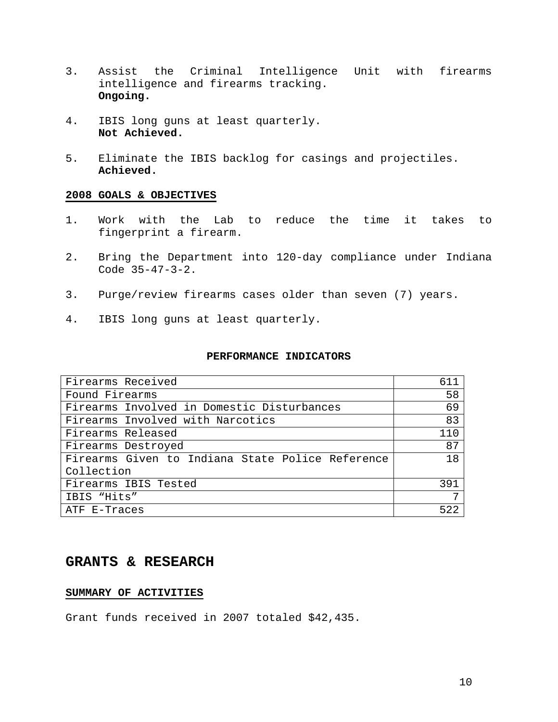- 3. Assist the Criminal Intelligence Unit with firearms intelligence and firearms tracking. **Ongoing.**
- 4. IBIS long guns at least quarterly. **Not Achieved.**
- 5. Eliminate the IBIS backlog for casings and projectiles. **Achieved.**

- 1. Work with the Lab to reduce the time it takes to fingerprint a firearm.
- 2. Bring the Department into 120-day compliance under Indiana Code 35-47-3-2.
- 3. Purge/review firearms cases older than seven (7) years.
- 4. IBIS long guns at least quarterly.

### **PERFORMANCE INDICATORS**

| Firearms Received                                | 611 |
|--------------------------------------------------|-----|
|                                                  |     |
| Found Firearms                                   | 58  |
| Firearms Involved in Domestic Disturbances       | 69  |
| Firearms Involved with Narcotics                 | 83  |
| Firearms Released                                | 110 |
| Firearms Destroyed                               | 87  |
| Firearms Given to Indiana State Police Reference | 18  |
| Collection                                       |     |
| Firearms IBIS Tested                             | 391 |
| IBIS "Hits"                                      | 7   |
| ATF E-Traces                                     | 522 |

## **GRANTS & RESEARCH**

### **SUMMARY OF ACTIVITIES**

Grant funds received in 2007 totaled \$42,435.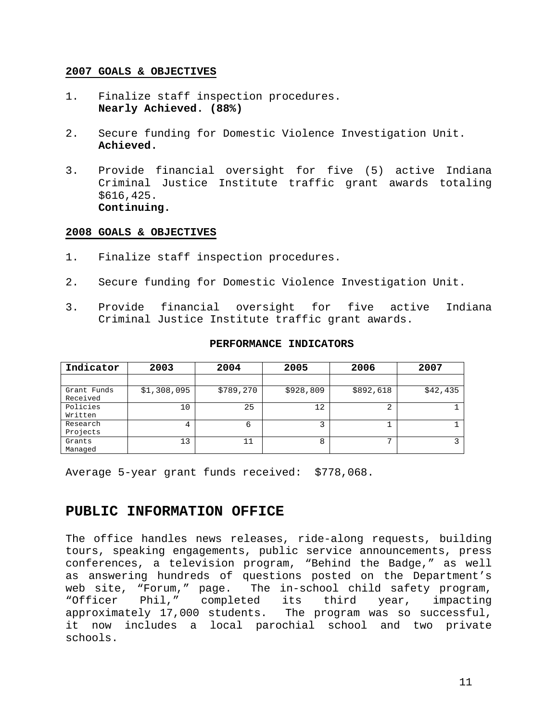- 1. Finalize staff inspection procedures. **Nearly Achieved. (88%)**
- 2. Secure funding for Domestic Violence Investigation Unit. **Achieved.**
- 3. Provide financial oversight for five (5) active Indiana Criminal Justice Institute traffic grant awards totaling \$616,425. **Continuing.**

### **2008 GOALS & OBJECTIVES**

- 1. Finalize staff inspection procedures.
- 2. Secure funding for Domestic Violence Investigation Unit.
- 3. Provide financial oversight for five active Indiana Criminal Justice Institute traffic grant awards.

| Indicator               | 2003        | 2004      | 2005      | 2006      | 2007     |
|-------------------------|-------------|-----------|-----------|-----------|----------|
|                         |             |           |           |           |          |
| Grant Funds<br>Received | \$1,308,095 | \$789,270 | \$928,809 | \$892,618 | \$42,435 |
| Policies<br>Written     | 10          | 25        | 12        | $\sim$    |          |
| Research<br>Projects    | 4           | 6         | 3         |           |          |
| Grants<br>Managed       | 13          | 11        | 8         | ⇁         |          |

### **PERFORMANCE INDICATORS**

Average 5-year grant funds received: \$778,068.

## **PUBLIC INFORMATION OFFICE**

The office handles news releases, ride-along requests, building tours, speaking engagements, public service announcements, press conferences, a television program, "Behind the Badge," as well as answering hundreds of questions posted on the Department's web site, "Forum," page. The in-school child safety program, "Officer Phil," completed its third year, impacting approximately 17,000 students. The program was so successful, it now includes a local parochial school and two private schools.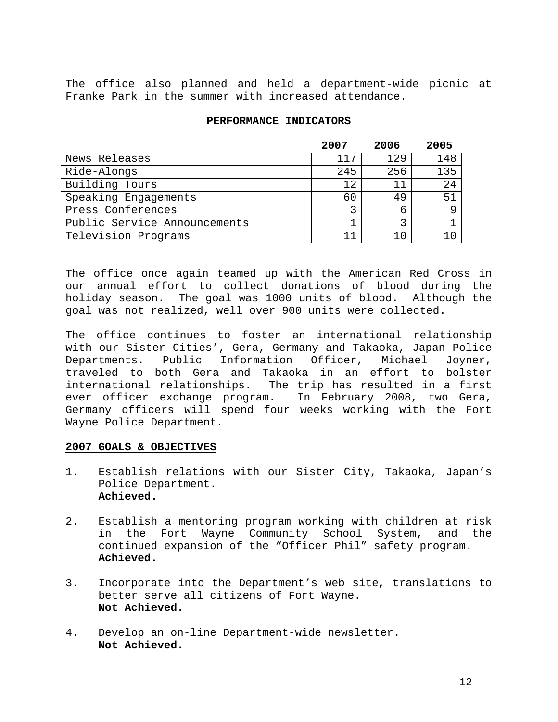The office also planned and held a department-wide picnic at Franke Park in the summer with increased attendance.

### **PERFORMANCE INDICATORS**

|                              | 2007 | 2006 | 2005 |
|------------------------------|------|------|------|
| News Releases                | 117  | 129  | 148  |
| Ride-Alongs                  | 245  | 256  | 135  |
| Building Tours               | 12   |      | 24   |
| Speaking Engagements         | 60   | 49   | 51   |
| Press Conferences            |      | 6    |      |
| Public Service Announcements |      |      |      |
| Television Programs          |      |      |      |

The office once again teamed up with the American Red Cross in our annual effort to collect donations of blood during the holiday season. The goal was 1000 units of blood. Although the goal was not realized, well over 900 units were collected.

The office continues to foster an international relationship with our Sister Cities', Gera, Germany and Takaoka, Japan Police Departments. Public Information Officer, Michael Joyner, traveled to both Gera and Takaoka in an effort to bolster international relationships. The trip has resulted in a first ever officer exchange program. In February 2008, two Gera, Germany officers will spend four weeks working with the Fort Wayne Police Department.

- 1. Establish relations with our Sister City, Takaoka, Japan's Police Department.  **Achieved.**
- 2. Establish a mentoring program working with children at risk in the Fort Wayne Community School System, and the continued expansion of the "Officer Phil" safety program. **Achieved.**
- 3. Incorporate into the Department's web site, translations to better serve all citizens of Fort Wayne. **Not Achieved.**
- 4. Develop an on-line Department-wide newsletter. **Not Achieved.**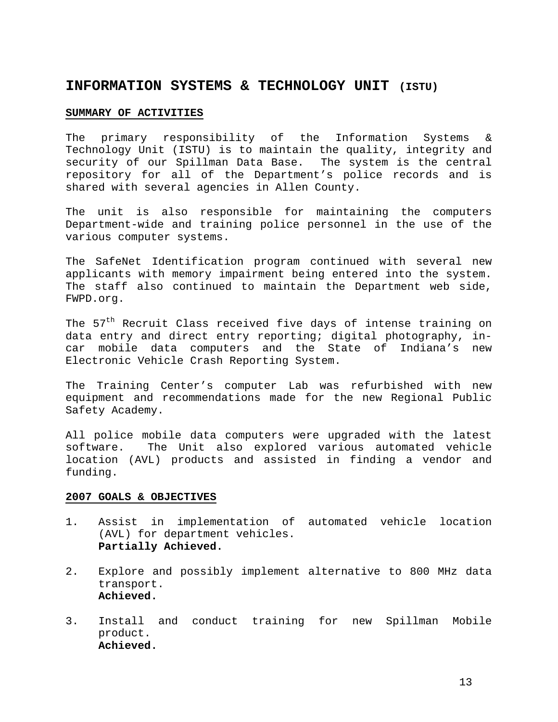## **INFORMATION SYSTEMS & TECHNOLOGY UNIT (ISTU)**

### **SUMMARY OF ACTIVITIES**

The primary responsibility of the Information Systems & Technology Unit (ISTU) is to maintain the quality, integrity and security of our Spillman Data Base. The system is the central repository for all of the Department's police records and is shared with several agencies in Allen County.

The unit is also responsible for maintaining the computers Department-wide and training police personnel in the use of the various computer systems.

The SafeNet Identification program continued with several new applicants with memory impairment being entered into the system. The staff also continued to maintain the Department web side, FWPD.org.

The 57<sup>th</sup> Recruit Class received five days of intense training on data entry and direct entry reporting; digital photography, incar mobile data computers and the State of Indiana's new Electronic Vehicle Crash Reporting System.

The Training Center's computer Lab was refurbished with new equipment and recommendations made for the new Regional Public Safety Academy.

All police mobile data computers were upgraded with the latest software. The Unit also explored various automated vehicle location (AVL) products and assisted in finding a vendor and funding.

- 1. Assist in implementation of automated vehicle location (AVL) for department vehicles. **Partially Achieved.**
- 2. Explore and possibly implement alternative to 800 MHz data transport. **Achieved.**
- 3. Install and conduct training for new Spillman Mobile product. **Achieved.**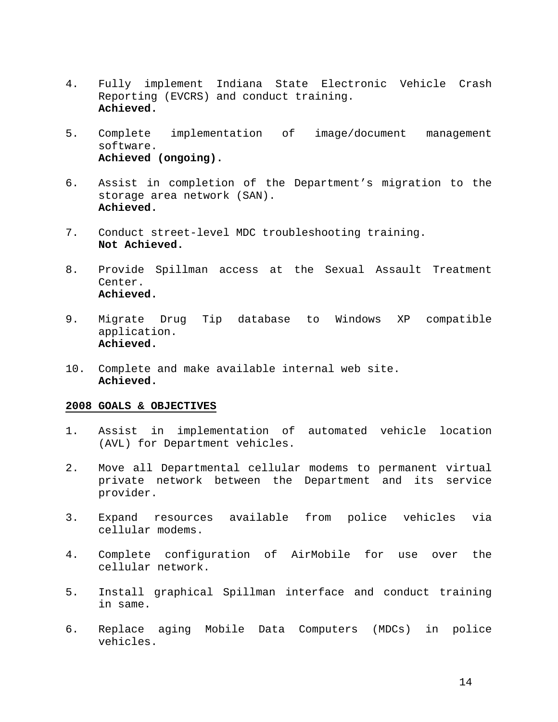- 4. Fully implement Indiana State Electronic Vehicle Crash Reporting (EVCRS) and conduct training. **Achieved.**
- 5. Complete implementation of image/document management software. **Achieved (ongoing).**
- 6. Assist in completion of the Department's migration to the storage area network (SAN). **Achieved.**
- 7. Conduct street-level MDC troubleshooting training. **Not Achieved.**
- 8. Provide Spillman access at the Sexual Assault Treatment Center. **Achieved.**
- 9. Migrate Drug Tip database to Windows XP compatible application. **Achieved.**
- 10. Complete and make available internal web site. **Achieved.**

- 1. Assist in implementation of automated vehicle location (AVL) for Department vehicles.
- 2. Move all Departmental cellular modems to permanent virtual private network between the Department and its service provider.
- 3. Expand resources available from police vehicles via cellular modems.
- 4. Complete configuration of AirMobile for use over the cellular network.
- 5. Install graphical Spillman interface and conduct training in same.
- 6. Replace aging Mobile Data Computers (MDCs) in police vehicles.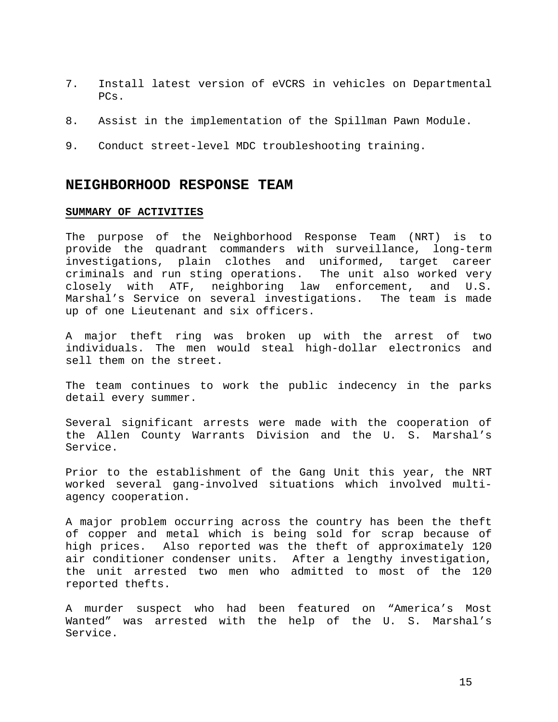- 7. Install latest version of eVCRS in vehicles on Departmental PCs.
- 8. Assist in the implementation of the Spillman Pawn Module.
- 9. Conduct street-level MDC troubleshooting training.

### **NEIGHBORHOOD RESPONSE TEAM**

### **SUMMARY OF ACTIVITIES**

The purpose of the Neighborhood Response Team (NRT) is to provide the quadrant commanders with surveillance, long-term investigations, plain clothes and uniformed, target career criminals and run sting operations. The unit also worked very closely with ATF, neighboring law enforcement, and U.S. Marshal's Service on several investigations. The team is made up of one Lieutenant and six officers.

A major theft ring was broken up with the arrest of two individuals. The men would steal high-dollar electronics and sell them on the street.

The team continues to work the public indecency in the parks detail every summer.

Several significant arrests were made with the cooperation of the Allen County Warrants Division and the U. S. Marshal's Service.

Prior to the establishment of the Gang Unit this year, the NRT worked several gang-involved situations which involved multiagency cooperation.

A major problem occurring across the country has been the theft of copper and metal which is being sold for scrap because of high prices. Also reported was the theft of approximately 120 air conditioner condenser units. After a lengthy investigation, the unit arrested two men who admitted to most of the 120 reported thefts.

A murder suspect who had been featured on "America's Most Wanted" was arrested with the help of the U. S. Marshal's Service.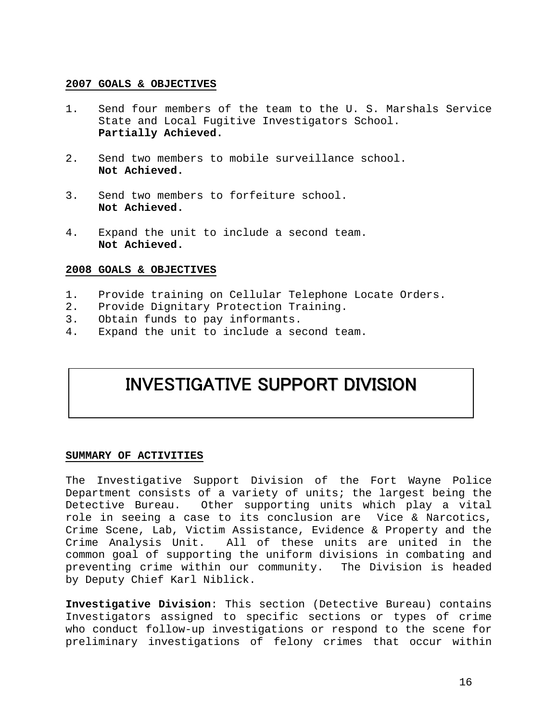- 1. Send four members of the team to the U. S. Marshals Service State and Local Fugitive Investigators School. **Partially Achieved.**
- 2. Send two members to mobile surveillance school. **Not Achieved.**
- 3. Send two members to forfeiture school. **Not Achieved.**
- 4. Expand the unit to include a second team. **Not Achieved.**

### **2008 GOALS & OBJECTIVES**

- 1. Provide training on Cellular Telephone Locate Orders.
- 2. Provide Dignitary Protection Training.
- 3. Obtain funds to pay informants.
- 4. Expand the unit to include a second team.

## INVESTIGATIVE SUPPORT DIVISION

### **SUMMARY OF ACTIVITIES**

The Investigative Support Division of the Fort Wayne Police Department consists of a variety of units; the largest being the Detective Bureau. Other supporting units which play a vital role in seeing a case to its conclusion are Vice & Narcotics, Crime Scene, Lab, Victim Assistance, Evidence & Property and the Crime Analysis Unit. All of these units are united in the common goal of supporting the uniform divisions in combating and preventing crime within our community. The Division is headed by Deputy Chief Karl Niblick.

**Investigative Division**: This section (Detective Bureau) contains Investigators assigned to specific sections or types of crime who conduct follow-up investigations or respond to the scene for preliminary investigations of felony crimes that occur within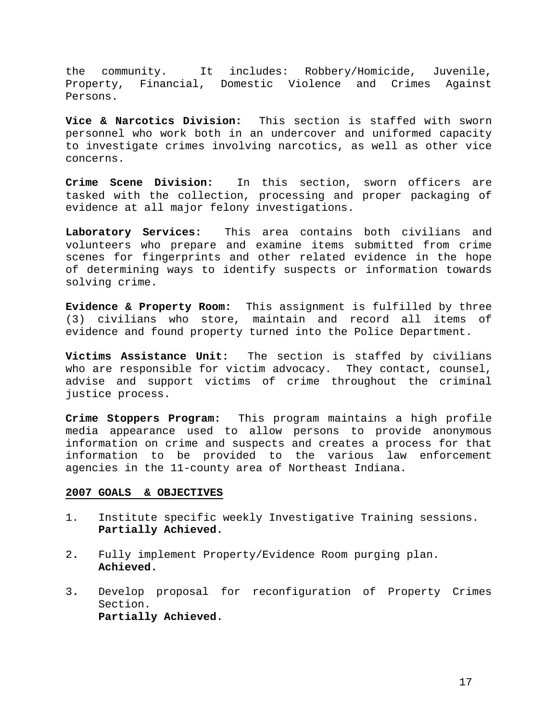the community. It includes: Robbery/Homicide, Juvenile, Property, Financial, Domestic Violence and Crimes Against Persons.

**Vice & Narcotics Division:** This section is staffed with sworn personnel who work both in an undercover and uniformed capacity to investigate crimes involving narcotics, as well as other vice concerns.

**Crime Scene Division:** In this section, sworn officers are tasked with the collection, processing and proper packaging of evidence at all major felony investigations.

**Laboratory Services:** This area contains both civilians and volunteers who prepare and examine items submitted from crime scenes for fingerprints and other related evidence in the hope of determining ways to identify suspects or information towards solving crime.

**Evidence & Property Room:** This assignment is fulfilled by three (3) civilians who store, maintain and record all items of evidence and found property turned into the Police Department.

**Victims Assistance Unit:** The section is staffed by civilians who are responsible for victim advocacy. They contact, counsel, advise and support victims of crime throughout the criminal justice process.

**Crime Stoppers Program:** This program maintains a high profile media appearance used to allow persons to provide anonymous information on crime and suspects and creates a process for that information to be provided to the various law enforcement agencies in the 11-county area of Northeast Indiana.

- 1. Institute specific weekly Investigative Training sessions.  **Partially Achieved.**
- 2**.** Fully implement Property/Evidence Room purging plan. **Achieved.**
- 3**.** Develop proposal for reconfiguration of Property Crimes Section. **Partially Achieved.**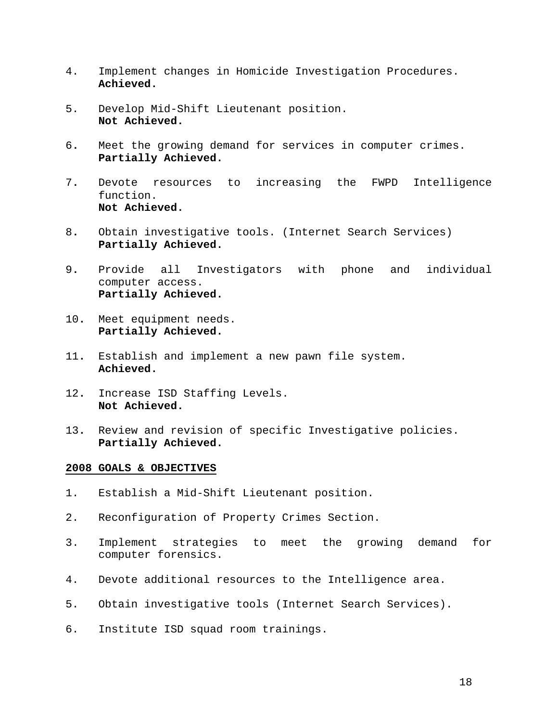- 4. Implement changes in Homicide Investigation Procedures. **Achieved.**
- 5. Develop Mid-Shift Lieutenant position. **Not Achieved.**
- 6**.** Meet the growing demand for services in computer crimes. **Partially Achieved.**
- 7**.** Devote resources to increasing the FWPD Intelligence function. **Not Achieved.**
- 8**.** Obtain investigative tools. (Internet Search Services) **Partially Achieved.**
- 9**.** Provide all Investigators with phone and individual computer access. **Partially Achieved.**
- 10**.** Meet equipment needs. **Partially Achieved.**
- 11**.** Establish and implement a new pawn file system. **Achieved.**
- 12**.** Increase ISD Staffing Levels. **Not Achieved.**
- 13**.** Review and revision of specific Investigative policies. **Partially Achieved.**

- 1. Establish a Mid-Shift Lieutenant position.
- 2. Reconfiguration of Property Crimes Section.
- 3. Implement strategies to meet the growing demand for computer forensics.
- 4. Devote additional resources to the Intelligence area.
- 5. Obtain investigative tools (Internet Search Services).
- 6. Institute ISD squad room trainings.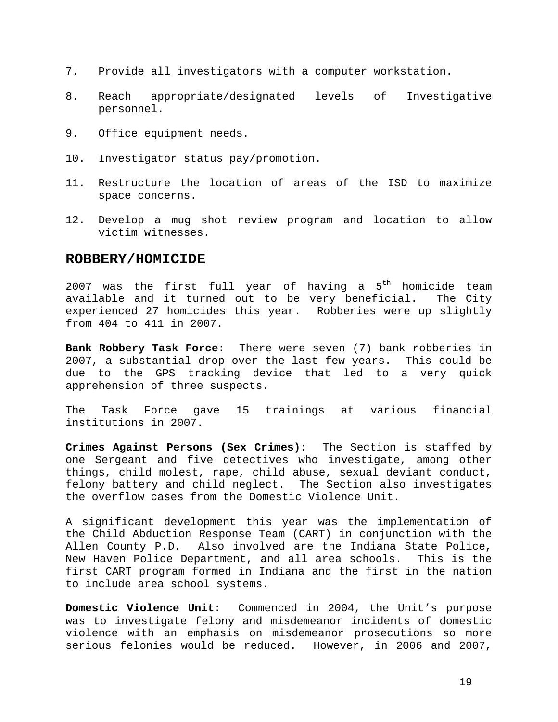- 7. Provide all investigators with a computer workstation.
- 8. Reach appropriate/designated levels of Investigative personnel.
- 9. Office equipment needs.
- 10. Investigator status pay/promotion.
- 11. Restructure the location of areas of the ISD to maximize space concerns.
- 12. Develop a mug shot review program and location to allow victim witnesses.

### **ROBBERY/HOMICIDE**

2007 was the first full year of having a  $5<sup>th</sup>$  homicide team available and it turned out to be very beneficial. The City experienced 27 homicides this year. Robberies were up slightly from 404 to 411 in 2007.

**Bank Robbery Task Force:** There were seven (7) bank robberies in 2007, a substantial drop over the last few years. This could be due to the GPS tracking device that led to a very quick apprehension of three suspects.

The Task Force gave 15 trainings at various financial institutions in 2007.

**Crimes Against Persons (Sex Crimes):** The Section is staffed by one Sergeant and five detectives who investigate, among other things, child molest, rape, child abuse, sexual deviant conduct, felony battery and child neglect. The Section also investigates the overflow cases from the Domestic Violence Unit.

A significant development this year was the implementation of the Child Abduction Response Team (CART) in conjunction with the Allen County P.D. Also involved are the Indiana State Police, New Haven Police Department, and all area schools. This is the first CART program formed in Indiana and the first in the nation to include area school systems.

**Domestic Violence Unit:** Commenced in 2004, the Unit's purpose was to investigate felony and misdemeanor incidents of domestic violence with an emphasis on misdemeanor prosecutions so more serious felonies would be reduced. However, in 2006 and 2007,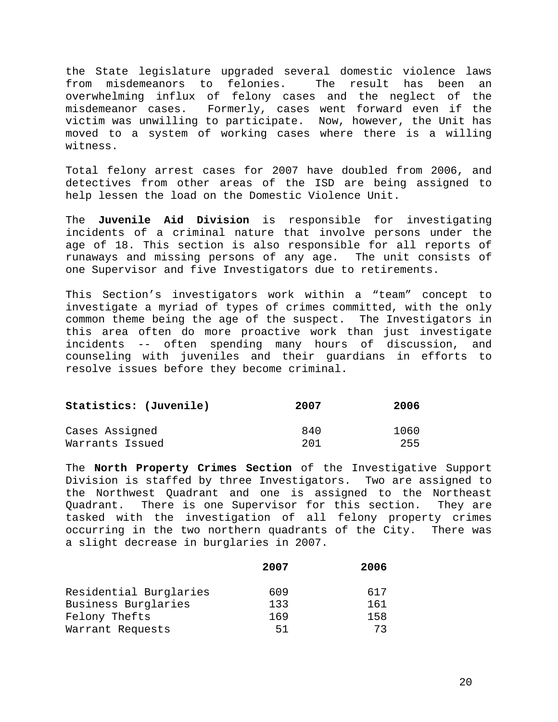the State legislature upgraded several domestic violence laws from misdemeanors to felonies. The result has been an overwhelming influx of felony cases and the neglect of the misdemeanor cases. Formerly, cases went forward even if the victim was unwilling to participate. Now, however, the Unit has moved to a system of working cases where there is a willing witness.

Total felony arrest cases for 2007 have doubled from 2006, and detectives from other areas of the ISD are being assigned to help lessen the load on the Domestic Violence Unit.

The **Juvenile Aid Division** is responsible for investigating incidents of a criminal nature that involve persons under the age of 18. This section is also responsible for all reports of runaways and missing persons of any age. The unit consists of one Supervisor and five Investigators due to retirements.

This Section's investigators work within a "team" concept to investigate a myriad of types of crimes committed, with the only common theme being the age of the suspect. The Investigators in this area often do more proactive work than just investigate incidents -- often spending many hours of discussion, and counseling with juveniles and their guardians in efforts to resolve issues before they become criminal.

| Statistics: (Juvenile) | 2007 | 2006 |
|------------------------|------|------|
| Cases Assigned         | 840  | 1060 |
| Warrants Issued        | 201  | 255  |

The **North Property Crimes Section** of the Investigative Support Division is staffed by three Investigators. Two are assigned to the Northwest Quadrant and one is assigned to the Northeast Quadrant. There is one Supervisor for this section. They are tasked with the investigation of all felony property crimes occurring in the two northern quadrants of the City. There was a slight decrease in burglaries in 2007.

|                        | 2007 | 2006 |
|------------------------|------|------|
| Residential Burglaries | 609  | 617  |
| Business Burglaries    | 133  | 161  |
| Felony Thefts          | 169  | 158  |
| Warrant Requests       | 51   | 73   |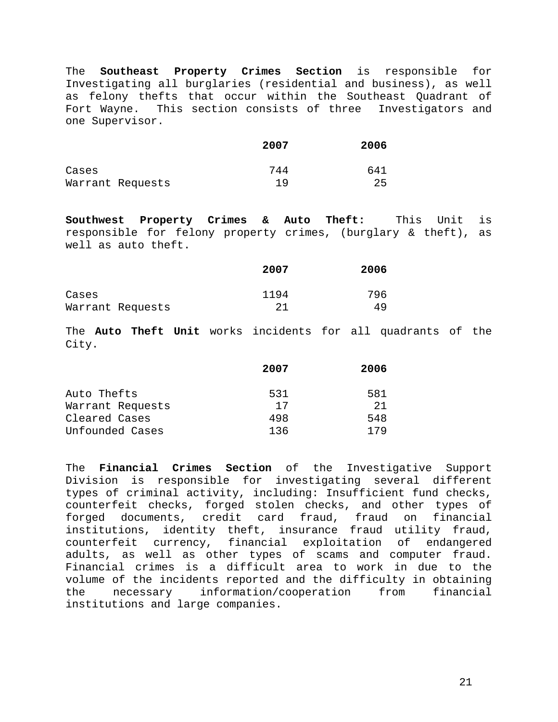The **Southeast Property Crimes Section** is responsible for Investigating all burglaries (residential and business), as well as felony thefts that occur within the Southeast Quadrant of Fort Wayne. This section consists of three Investigators and one Supervisor.

|                  | 2007 | 2006 |
|------------------|------|------|
| Cases            | 744  | 641  |
| Warrant Requests | 1 Q  | 25   |

**Southwest Property Crimes & Auto Theft:** This Unit is responsible for felony property crimes, (burglary & theft), as well as auto theft.

|                  | 2007 | 2006 |
|------------------|------|------|
| Cases            | 1194 | 796  |
| Warrant Requests | 21   | 49   |

The **Auto Theft Unit** works incidents for all quadrants of the City.

|                  | 2007 | 2006 |
|------------------|------|------|
| Auto Thefts      | 531  | 581  |
| Warrant Requests | 17   | 21   |
| Cleared Cases    | 498  | 548  |
| Unfounded Cases  | 136  | 179  |

The **Financial Crimes Section** of the Investigative Support Division is responsible for investigating several different types of criminal activity, including: Insufficient fund checks, counterfeit checks, forged stolen checks, and other types of forged documents, credit card fraud, fraud on financial institutions, identity theft, insurance fraud utility fraud, counterfeit currency, financial exploitation of endangered adults, as well as other types of scams and computer fraud. Financial crimes is a difficult area to work in due to the volume of the incidents reported and the difficulty in obtaining the necessary information/cooperation from financial institutions and large companies.

21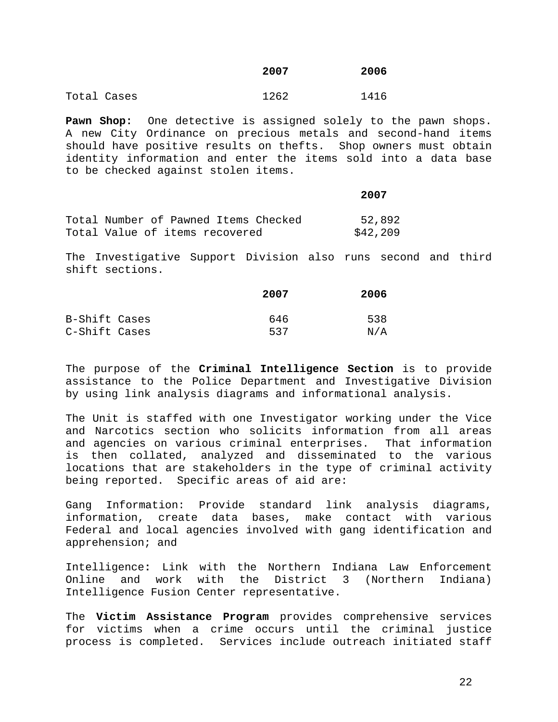|             | 2007 | 2006 |
|-------------|------|------|
| Total Cases | 1262 | 1416 |

**Pawn Shop:** One detective is assigned solely to the pawn shops. A new City Ordinance on precious metals and second-hand items should have positive results on thefts. Shop owners must obtain identity information and enter the items sold into a data base to be checked against stolen items.

|                                      | 2007     |
|--------------------------------------|----------|
| Total Number of Pawned Items Checked | 52,892   |
| Total Value of items recovered       | \$42,209 |

The Investigative Support Division also runs second and third shift sections.

|               | 2007 | 2006 |
|---------------|------|------|
| B-Shift Cases | 646  | 538  |
| C-Shift Cases | 537  | N/A  |

The purpose of the **Criminal Intelligence Section** is to provide assistance to the Police Department and Investigative Division by using link analysis diagrams and informational analysis.

The Unit is staffed with one Investigator working under the Vice and Narcotics section who solicits information from all areas and agencies on various criminal enterprises. That information is then collated, analyzed and disseminated to the various locations that are stakeholders in the type of criminal activity being reported. Specific areas of aid are:

Gang Information: Provide standard link analysis diagrams, information, create data bases, make contact with various Federal and local agencies involved with gang identification and apprehension; and

Intelligence**:** Link with the Northern Indiana Law Enforcement Online and work with the District 3 (Northern Indiana) Intelligence Fusion Center representative.

The **Victim Assistance Program** provides comprehensive services for victims when a crime occurs until the criminal justice process is completed. Services include outreach initiated staff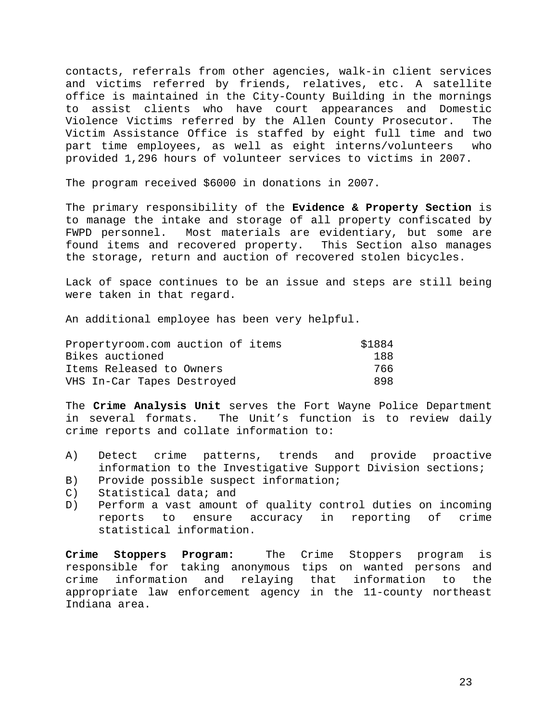contacts, referrals from other agencies, walk-in client services and victims referred by friends, relatives, etc. A satellite office is maintained in the City-County Building in the mornings to assist clients who have court appearances and Domestic Violence Victims referred by the Allen County Prosecutor. The Victim Assistance Office is staffed by eight full time and two part time employees, as well as eight interns/volunteers who provided 1,296 hours of volunteer services to victims in 2007.

The program received \$6000 in donations in 2007.

The primary responsibility of the **Evidence & Property Section** is to manage the intake and storage of all property confiscated by FWPD personnel. Most materials are evidentiary, but some are found items and recovered property. This Section also manages the storage, return and auction of recovered stolen bicycles.

Lack of space continues to be an issue and steps are still being were taken in that regard.

An additional employee has been very helpful.

| Propertyroom.com auction of items | \$1884 |
|-----------------------------------|--------|
| Bikes auctioned                   | 188    |
| Items Released to Owners          | 766    |
| VHS In-Car Tapes Destroyed        | 898    |

The **Crime Analysis Unit** serves the Fort Wayne Police Department in several formats. The Unit's function is to review daily crime reports and collate information to:

- A) Detect crime patterns, trends and provide proactive information to the Investigative Support Division sections;
- B) Provide possible suspect information;
- C) Statistical data; and
- D) Perform a vast amount of quality control duties on incoming reports to ensure accuracy in reporting of crime statistical information.

**Crime Stoppers Program:** The Crime Stoppers program is responsible for taking anonymous tips on wanted persons and crime information and relaying that information to the appropriate law enforcement agency in the 11-county northeast Indiana area.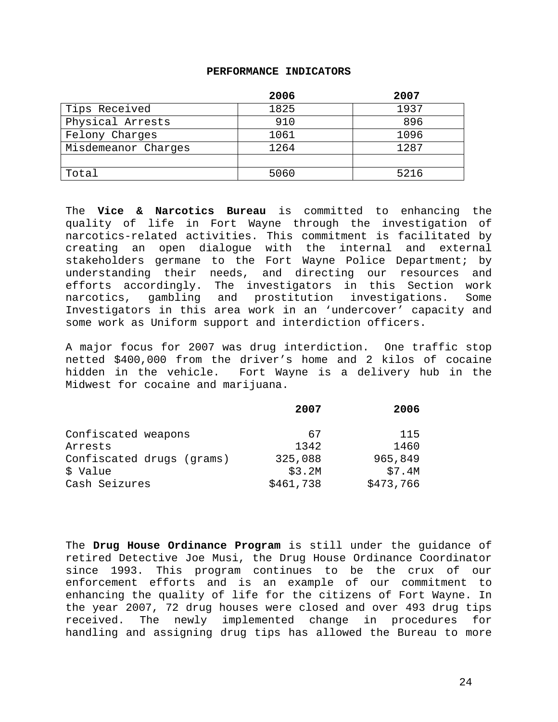### **PERFORMANCE INDICATORS**

|                     | 2006 | 2007 |
|---------------------|------|------|
| Tips Received       | 1825 | 1937 |
| Physical Arrests    | 910  | 896  |
| Felony Charges      | 1061 | 1096 |
| Misdemeanor Charges | 1264 | 1287 |
|                     |      |      |
| Total               | 5060 | 5216 |

The **Vice & Narcotics Bureau** is committed to enhancing the quality of life in Fort Wayne through the investigation of narcotics-related activities. This commitment is facilitated by creating an open dialogue with the internal and external stakeholders germane to the Fort Wayne Police Department; by understanding their needs, and directing our resources and efforts accordingly. The investigators in this Section work narcotics, gambling and prostitution investigations. Some Investigators in this area work in an 'undercover' capacity and some work as Uniform support and interdiction officers.

A major focus for 2007 was drug interdiction. One traffic stop netted \$400,000 from the driver's home and 2 kilos of cocaine hidden in the vehicle. Fort Wayne is a delivery hub in the Midwest for cocaine and marijuana.

|                           | 2007      | 2006      |
|---------------------------|-----------|-----------|
|                           |           |           |
| Confiscated weapons       | 67        | 115       |
| Arrests                   | 1342      | 1460      |
| Confiscated drugs (grams) | 325,088   | 965,849   |
| \$ Value                  | \$3.2M    | \$7.4M    |
| Cash Seizures             | \$461,738 | \$473,766 |

The **Drug House Ordinance Program** is still under the guidance of retired Detective Joe Musi, the Drug House Ordinance Coordinator since 1993. This program continues to be the crux of our enforcement efforts and is an example of our commitment to enhancing the quality of life for the citizens of Fort Wayne. In the year 2007, 72 drug houses were closed and over 493 drug tips received. The newly implemented change in procedures for handling and assigning drug tips has allowed the Bureau to more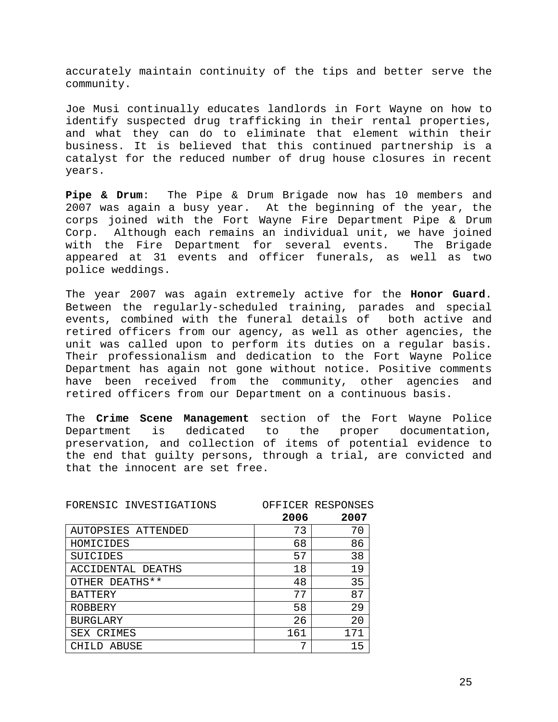accurately maintain continuity of the tips and better serve the community.

Joe Musi continually educates landlords in Fort Wayne on how to identify suspected drug trafficking in their rental properties, and what they can do to eliminate that element within their business. It is believed that this continued partnership is a catalyst for the reduced number of drug house closures in recent years.

**Pipe & Drum**: The Pipe & Drum Brigade now has 10 members and 2007 was again a busy year. At the beginning of the year, the corps joined with the Fort Wayne Fire Department Pipe & Drum Corp. Although each remains an individual unit, we have joined with the Fire Department for several events. The Brigade appeared at 31 events and officer funerals, as well as two police weddings.

The year 2007 was again extremely active for the **Honor Guard**. Between the regularly-scheduled training, parades and special events, combined with the funeral details of both active and retired officers from our agency, as well as other agencies, the unit was called upon to perform its duties on a regular basis. Their professionalism and dedication to the Fort Wayne Police Department has again not gone without notice. Positive comments have been received from the community, other agencies and retired officers from our Department on a continuous basis.

The **Crime Scene Management** section of the Fort Wayne Police Department is dedicated to the proper documentation, preservation, and collection of items of potential evidence to the end that guilty persons, through a trial, are convicted and that the innocent are set free.

| FORENSIC INVESTIGATIONS | 2006 | OFFICER RESPONSES<br>2007 |
|-------------------------|------|---------------------------|
|                         |      |                           |
| AUTOPSIES ATTENDED      | 73   | 70                        |
| HOMICIDES               | 68   | 86                        |
| SUICIDES                | 57   | 38                        |
| ACCIDENTAL DEATHS       | 18   | 19                        |
| OTHER DEATHS**          | 48   | 35                        |
| <b>BATTERY</b>          | 77   | 87                        |
| ROBBERY                 | 58   | 29                        |
| <b>BURGLARY</b>         | 26   | 20                        |
| SEX CRIMES              | 161  | 171                       |
| ABUSE                   | 7    | 15                        |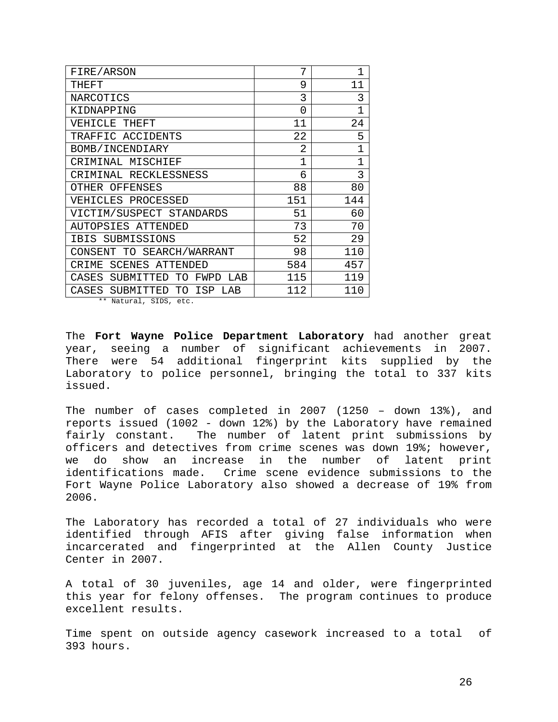| FIRE/ARSON                            | 7           | $\overline{1}$ |
|---------------------------------------|-------------|----------------|
| THEFT                                 | 9           | 11             |
| NARCOTICS                             | 3           | 3              |
| KIDNAPPING                            | 0           | $\overline{1}$ |
| VEHICLE THEFT                         | 11          | 24             |
| TRAFFIC ACCIDENTS                     | 22          | 5              |
| BOMB/INCENDIARY                       | 2           | $\overline{1}$ |
| CRIMINAL MISCHIEF                     | $\mathbf 1$ | $\overline{1}$ |
| CRIMINAL RECKLESSNESS                 | б           | 3              |
| OTHER OFFENSES                        | 88          | 80             |
| VEHICLES PROCESSED                    | 151         | 144            |
| VICTIM/SUSPECT STANDARDS              | 51          | 60             |
| AUTOPSIES ATTENDED                    | 73          | 70             |
| SUBMISSIONS<br>IBIS                   | 52          | 29             |
| CONSENT TO SEARCH/WARRANT             | 98          | 110            |
| <b>SCENES ATTENDED</b><br>CRIME       | 584         | 457            |
| CASES SUBMITTED<br>FWPD<br>TO.<br>LAB | 115         | 119            |
| CASES SUBMITTED TO ISP<br>T.AB        | 112         | 110            |

\*\* Natural, SIDS, etc.

The **Fort Wayne Police Department Laboratory** had another great year, seeing a number of significant achievements in 2007. There were 54 additional fingerprint kits supplied by the Laboratory to police personnel, bringing the total to 337 kits issued.

The number of cases completed in 2007 (1250 – down 13%), and reports issued (1002 - down 12%) by the Laboratory have remained fairly constant. The number of latent print submissions by officers and detectives from crime scenes was down 19%; however, we do show an increase in the number of latent print identifications made. Crime scene evidence submissions to the Fort Wayne Police Laboratory also showed a decrease of 19% from 2006.

The Laboratory has recorded a total of 27 individuals who were identified through AFIS after giving false information when incarcerated and fingerprinted at the Allen County Justice Center in 2007.

A total of 30 juveniles, age 14 and older, were fingerprinted this year for felony offenses. The program continues to produce excellent results.

Time spent on outside agency casework increased to a total of 393 hours.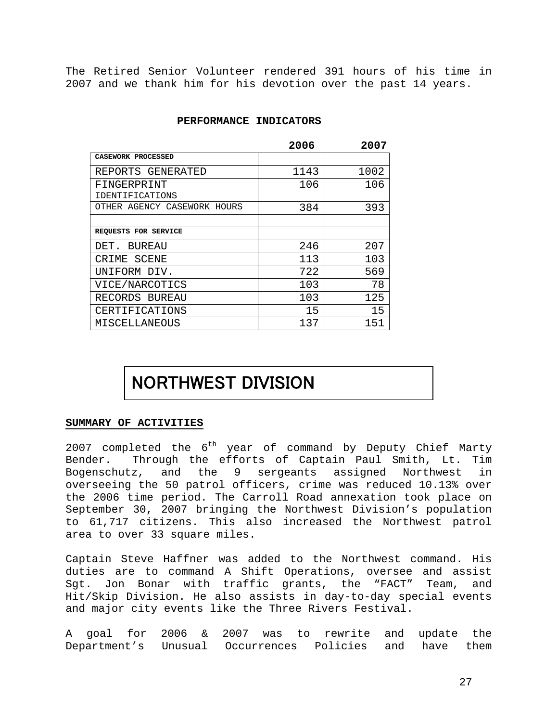The Retired Senior Volunteer rendered 391 hours of his time in 2007 and we thank him for his devotion over the past 14 years.

### **PERFORMANCE INDICATORS**

|                             | 2006 | 2007 |
|-----------------------------|------|------|
| CASEWORK PROCESSED          |      |      |
| REPORTS GENERATED           | 1143 | 1002 |
| FINGERPRINT                 | 106  | 106  |
| IDENTIFICATIONS             |      |      |
| OTHER AGENCY CASEWORK HOURS | 384  | 393  |
|                             |      |      |
| REQUESTS FOR SERVICE        |      |      |
| BUREAU<br>DET.              | 246  | 207  |
| CRIME SCENE                 | 113  | 103  |
| UNIFORM DIV.                | 722  | 569  |
| VICE/NARCOTICS              | 103  | 78   |
| RECORDS BUREAU              | 103  | 125  |
| CERTIFICATIONS              | 15   | 15   |
| MISCELLANEOUS               | 137  | 151  |

# NORTHWEST DIVISION

### **SUMMARY OF ACTIVITIES**

2007 completed the  $6<sup>th</sup>$  year of command by Deputy Chief Marty Bender. Through the efforts of Captain Paul Smith, Lt. Tim Bogenschutz, and the 9 sergeants assigned Northwest in overseeing the 50 patrol officers, crime was reduced 10.13% over the 2006 time period. The Carroll Road annexation took place on September 30, 2007 bringing the Northwest Division's population to 61,717 citizens. This also increased the Northwest patrol area to over 33 square miles.

Captain Steve Haffner was added to the Northwest command. His duties are to command A Shift Operations, oversee and assist Sgt. Jon Bonar with traffic grants, the "FACT" Team, and Hit/Skip Division. He also assists in day-to-day special events and major city events like the Three Rivers Festival.

A goal for 2006 & 2007 was to rewrite and update the Department's Unusual Occurrences Policies and have them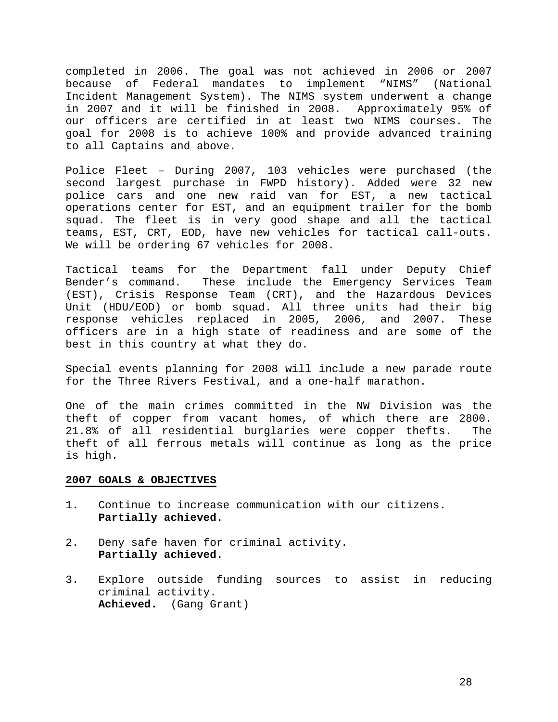completed in 2006. The goal was not achieved in 2006 or 2007 because of Federal mandates to implement "NIMS" (National Incident Management System). The NIMS system underwent a change in 2007 and it will be finished in 2008. Approximately 95% of our officers are certified in at least two NIMS courses. The goal for 2008 is to achieve 100% and provide advanced training to all Captains and above.

Police Fleet – During 2007, 103 vehicles were purchased (the second largest purchase in FWPD history). Added were 32 new police cars and one new raid van for EST, a new tactical operations center for EST, and an equipment trailer for the bomb squad. The fleet is in very good shape and all the tactical teams, EST, CRT, EOD, have new vehicles for tactical call-outs. We will be ordering 67 vehicles for 2008.

Tactical teams for the Department fall under Deputy Chief Bender's command. These include the Emergency Services Team (EST), Crisis Response Team (CRT), and the Hazardous Devices Unit (HDU/EOD) or bomb squad. All three units had their big response vehicles replaced in 2005, 2006, and 2007. These officers are in a high state of readiness and are some of the best in this country at what they do.

Special events planning for 2008 will include a new parade route for the Three Rivers Festival, and a one-half marathon.

One of the main crimes committed in the NW Division was the theft of copper from vacant homes, of which there are 2800. 21.8% of all residential burglaries were copper thefts. The theft of all ferrous metals will continue as long as the price is high.

- 1. Continue to increase communication with our citizens. **Partially achieved.**
- 2. Deny safe haven for criminal activity. **Partially achieved.**
- 3. Explore outside funding sources to assist in reducing criminal activity. **Achieved.** (Gang Grant)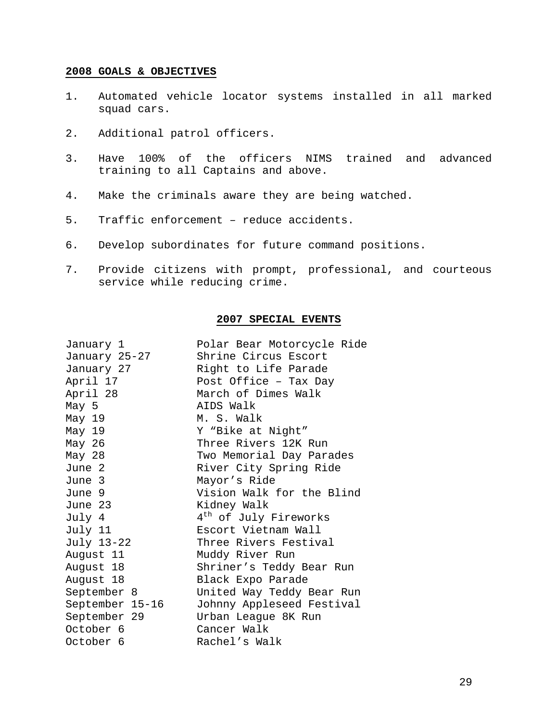- 1. Automated vehicle locator systems installed in all marked squad cars.
- 2. Additional patrol officers.
- 3. Have 100% of the officers NIMS trained and advanced training to all Captains and above.
- 4. Make the criminals aware they are being watched.
- 5. Traffic enforcement reduce accidents.
- 6. Develop subordinates for future command positions.
- 7. Provide citizens with prompt, professional, and courteous service while reducing crime.

### **2007 SPECIAL EVENTS**

| January 1       | Polar Bear Motorcycle Ride        |
|-----------------|-----------------------------------|
| January 25–27   | Shrine Circus Escort              |
| January 27      | Right to Life Parade              |
| April 17        | Post Office - Tax Day             |
| April 28        | March of Dimes Walk               |
| May 5           | AIDS Walk                         |
| May 19          | M. S. Walk                        |
| May 19          | Y "Bike at Night"                 |
| May 26          | Three Rivers 12K Run              |
| May 28          | Two Memorial Day Parades          |
| June 2          | River City Spring Ride            |
| June 3          | Mayor's Ride                      |
| June 9          | Vision Walk for the Blind         |
| June 23         | Kidney Walk                       |
| July 4          | 4 <sup>th</sup> of July Fireworks |
| July 11         | Escort Vietnam Wall               |
| July 13-22      | Three Rivers Festival             |
| August 11       | Muddy River Run                   |
| August 18       | Shriner's Teddy Bear Run          |
| August 18       | Black Expo Parade                 |
| September 8     | United Way Teddy Bear Run         |
| September 15-16 | Johnny Appleseed Festival         |
| September 29    | Urban League 8K Run               |
| October 6       | Cancer Walk                       |
| October 6       | Rachel's Walk                     |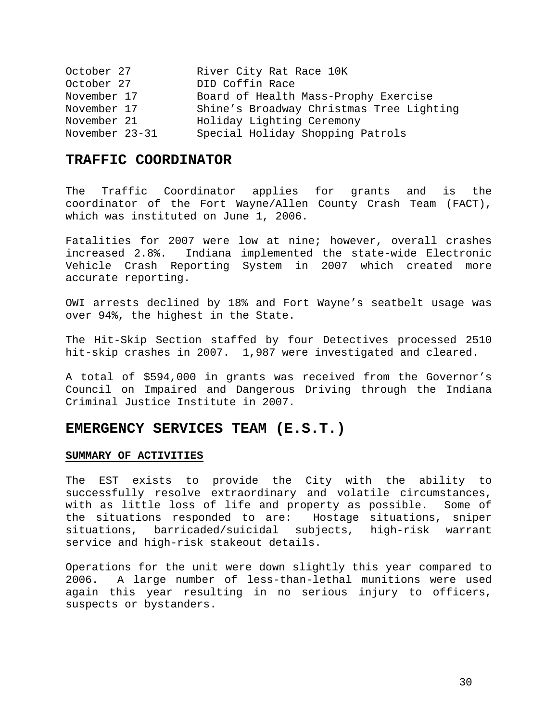| October 27     | River City Rat Race 10K                  |
|----------------|------------------------------------------|
| October 27     | DID Coffin Race                          |
| November 17    | Board of Health Mass-Prophy Exercise     |
| November 17    | Shine's Broadway Christmas Tree Lighting |
| November 21    | Holiday Lighting Ceremony                |
| November 23-31 | Special Holiday Shopping Patrols         |

## **TRAFFIC COORDINATOR**

The Traffic Coordinator applies for grants and is the coordinator of the Fort Wayne/Allen County Crash Team (FACT), which was instituted on June 1, 2006.

Fatalities for 2007 were low at nine; however, overall crashes increased 2.8%. Indiana implemented the state-wide Electronic Vehicle Crash Reporting System in 2007 which created more accurate reporting.

OWI arrests declined by 18% and Fort Wayne's seatbelt usage was over 94%, the highest in the State.

The Hit-Skip Section staffed by four Detectives processed 2510 hit-skip crashes in 2007. 1,987 were investigated and cleared.

A total of \$594,000 in grants was received from the Governor's Council on Impaired and Dangerous Driving through the Indiana Criminal Justice Institute in 2007.

### **EMERGENCY SERVICES TEAM (E.S.T.)**

### **SUMMARY OF ACTIVITIES**

The EST exists to provide the City with the ability to successfully resolve extraordinary and volatile circumstances, with as little loss of life and property as possible. Some of the situations responded to are: Hostage situations, sniper situations, barricaded/suicidal subjects, high-risk warrant service and high-risk stakeout details.

Operations for the unit were down slightly this year compared to 2006. A large number of less-than-lethal munitions were used again this year resulting in no serious injury to officers, suspects or bystanders.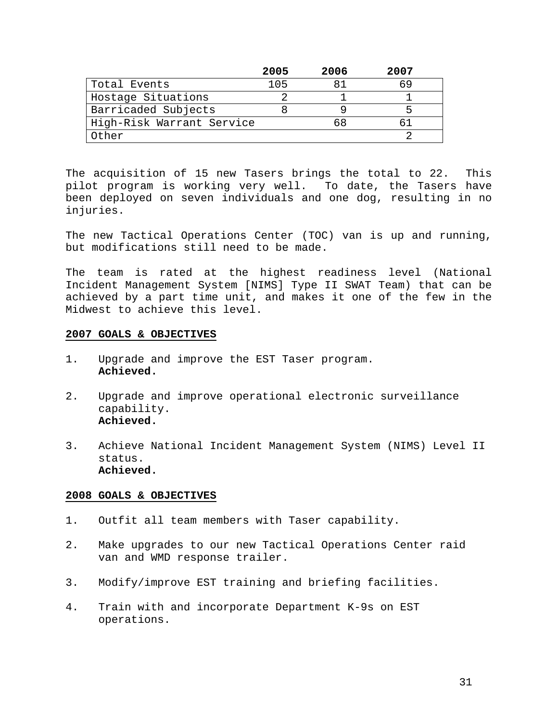|                           | 2005 | 2006 | 2007 |  |
|---------------------------|------|------|------|--|
| Total Events              |      |      |      |  |
| Hostage Situations        |      |      |      |  |
| Barricaded Subjects       |      |      |      |  |
| High-Risk Warrant Service |      |      |      |  |
| Other                     |      |      |      |  |

The acquisition of 15 new Tasers brings the total to 22. This pilot program is working very well. To date, the Tasers have been deployed on seven individuals and one dog, resulting in no injuries.

The new Tactical Operations Center (TOC) van is up and running, but modifications still need to be made.

The team is rated at the highest readiness level (National Incident Management System [NIMS] Type II SWAT Team) that can be achieved by a part time unit, and makes it one of the few in the Midwest to achieve this level.

### **2007 GOALS & OBJECTIVES**

- 1. Upgrade and improve the EST Taser program. **Achieved.**
- 2. Upgrade and improve operational electronic surveillance capability. **Achieved.**
- 3. Achieve National Incident Management System (NIMS) Level II status. **Achieved.**

- 1. Outfit all team members with Taser capability.
- 2. Make upgrades to our new Tactical Operations Center raid van and WMD response trailer.
- 3. Modify/improve EST training and briefing facilities.
- 4. Train with and incorporate Department K-9s on EST operations.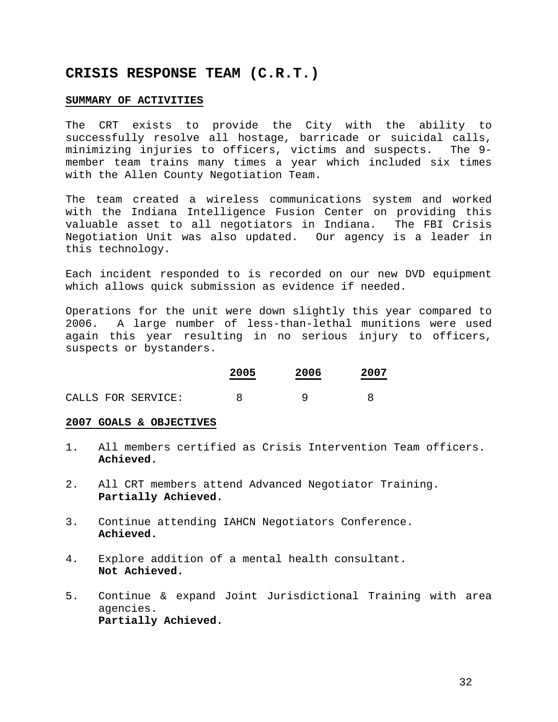## **CRISIS RESPONSE TEAM (C.R.T.)**

### **SUMMARY OF ACTIVITIES**

The CRT exists to provide the City with the ability to successfully resolve all hostage, barricade or suicidal calls, minimizing injuries to officers, victims and suspects. The 9 member team trains many times a year which included six times with the Allen County Negotiation Team.

The team created a wireless communications system and worked with the Indiana Intelligence Fusion Center on providing this valuable asset to all negotiators in Indiana. The FBI Crisis Negotiation Unit was also updated. Our agency is a leader in this technology.

Each incident responded to is recorded on our new DVD equipment which allows quick submission as evidence if needed.

Operations for the unit were down slightly this year compared to 2006. A large number of less-than-lethal munitions were used again this year resulting in no serious injury to officers, suspects or bystanders.

|  |                    | 2005 | 2006 | 2007 |  |
|--|--------------------|------|------|------|--|
|  | CALLS FOR SERVICE: |      |      |      |  |

- 1. All members certified as Crisis Intervention Team officers. **Achieved.**
- 2. All CRT members attend Advanced Negotiator Training. **Partially Achieved.**
- 3. Continue attending IAHCN Negotiators Conference. **Achieved.**
- 4. Explore addition of a mental health consultant. **Not Achieved.**
- 5. Continue & expand Joint Jurisdictional Training with area agencies. **Partially Achieved.**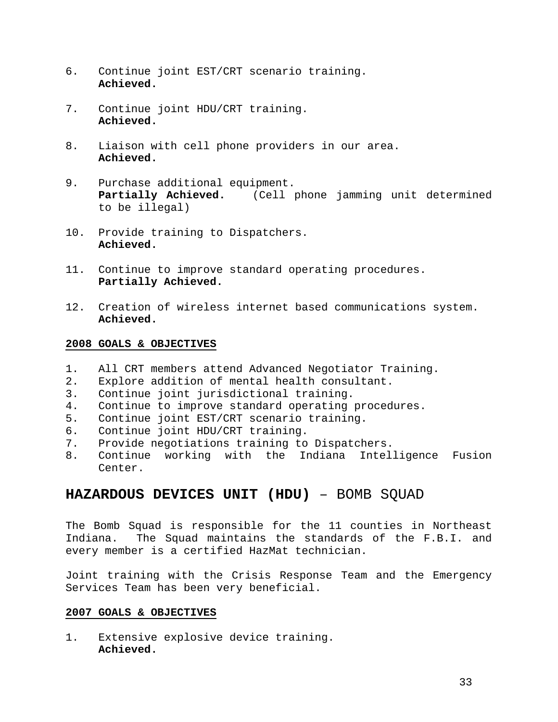- 6. Continue joint EST/CRT scenario training. **Achieved.**
- 7. Continue joint HDU/CRT training. **Achieved.**
- 8. Liaison with cell phone providers in our area. **Achieved.**
- 9. Purchase additional equipment. **Partially Achieved.** (Cell phone jamming unit determined to be illegal)
- 10. Provide training to Dispatchers. **Achieved.**
- 11. Continue to improve standard operating procedures. **Partially Achieved.**
- 12. Creation of wireless internet based communications system. **Achieved.**

- 1. All CRT members attend Advanced Negotiator Training.
- 2. Explore addition of mental health consultant.
- 3. Continue joint jurisdictional training.
- 4. Continue to improve standard operating procedures.
- 5. Continue joint EST/CRT scenario training.
- 6. Continue joint HDU/CRT training.
- 7. Provide negotiations training to Dispatchers.
- 8. Continue working with the Indiana Intelligence Fusion Center.

## **HAZARDOUS DEVICES UNIT (HDU)** – BOMB SQUAD

The Bomb Squad is responsible for the 11 counties in Northeast Indiana. The Squad maintains the standards of the F.B.I. and every member is a certified HazMat technician.

Joint training with the Crisis Response Team and the Emergency Services Team has been very beneficial.

### **2007 GOALS & OBJECTIVES**

1. Extensive explosive device training. **Achieved.**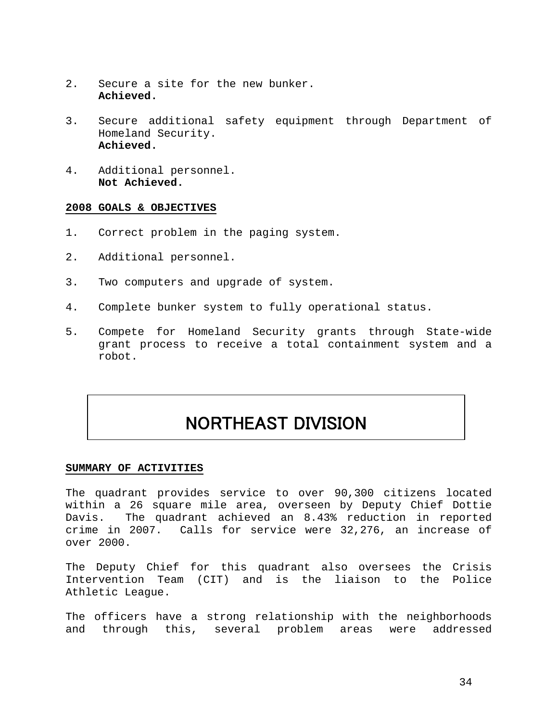- 2. Secure a site for the new bunker. **Achieved.**
- 3. Secure additional safety equipment through Department of Homeland Security. **Achieved.**
- 4. Additional personnel. **Not Achieved.**

- 1. Correct problem in the paging system.
- 2. Additional personnel.
- 3. Two computers and upgrade of system.
- 4. Complete bunker system to fully operational status.
- 5. Compete for Homeland Security grants through State-wide grant process to receive a total containment system and a robot.

# NORTHEAST DIVISION

### **SUMMARY OF ACTIVITIES**

The quadrant provides service to over 90,300 citizens located within a 26 square mile area, overseen by Deputy Chief Dottie Davis. The quadrant achieved an 8.43% reduction in reported crime in 2007. Calls for service were 32,276, an increase of over 2000.

The Deputy Chief for this quadrant also oversees the Crisis Intervention Team (CIT) and is the liaison to the Police Athletic League.

The officers have a strong relationship with the neighborhoods and through this, several problem areas were addressed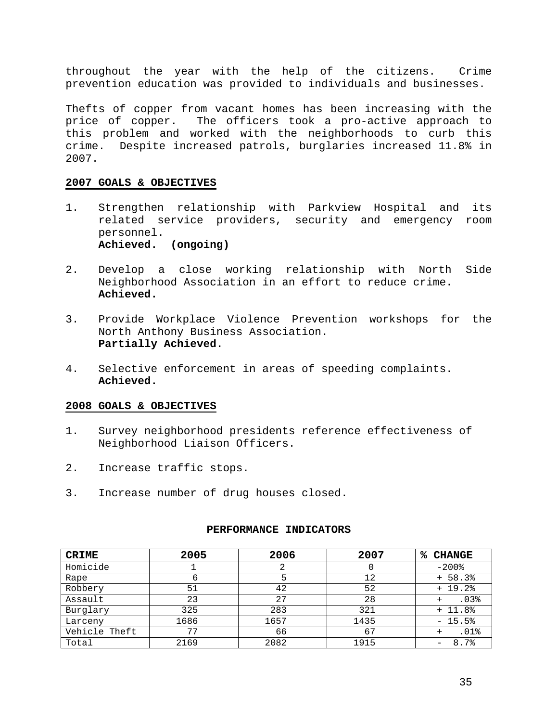throughout the year with the help of the citizens. Crime prevention education was provided to individuals and businesses.

Thefts of copper from vacant homes has been increasing with the price of copper. The officers took a pro-active approach to this problem and worked with the neighborhoods to curb this crime. Despite increased patrols, burglaries increased 11.8% in 2007.

### **2007 GOALS & OBJECTIVES**

- 1. Strengthen relationship with Parkview Hospital and its related service providers, security and emergency room personnel. **Achieved. (ongoing)**
- 2. Develop a close working relationship with North Side Neighborhood Association in an effort to reduce crime. **Achieved.**
- 3. Provide Workplace Violence Prevention workshops for the North Anthony Business Association. **Partially Achieved.**
- 4. Selective enforcement in areas of speeding complaints. **Achieved.**

### **2008 GOALS & OBJECTIVES**

- 1. Survey neighborhood presidents reference effectiveness of Neighborhood Liaison Officers.
- 2. Increase traffic stops.
- 3. Increase number of drug houses closed.

| <b>CRIME</b>  | 2005 | 2006 | 2007 | ℁<br><b>CHANGE</b> |
|---------------|------|------|------|--------------------|
| Homicide      |      |      |      | $-200$ %           |
| Rape          |      | 5    | 12   | $+ 58.3%$          |
| Robbery       | 51   | 42   | 52   | $+ 19.2%$          |
| Assault       | 23   | 27   | 28   | .03%               |
| Burglary      | 325  | 283  | 321  | $+ 11.8%$          |
| Larceny       | 1686 | 1657 | 1435 | $-15.5%$           |
| Vehicle Theft | 77   | 66   | 67   | .01%               |
| Total         | 2169 | 2082 | 1915 | 8.7%<br>-          |

### **PERFORMANCE INDICATORS**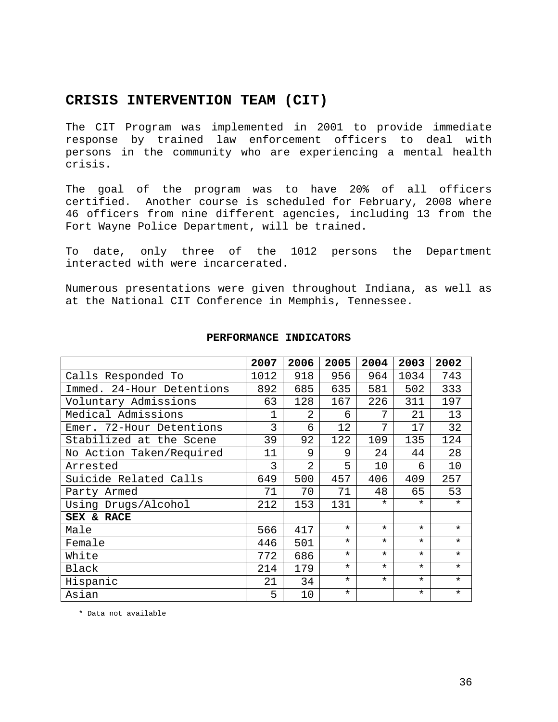## **CRISIS INTERVENTION TEAM (CIT)**

The CIT Program was implemented in 2001 to provide immediate response by trained law enforcement officers to deal with persons in the community who are experiencing a mental health crisis.

The goal of the program was to have 20% of all officers certified. Another course is scheduled for February, 2008 where 46 officers from nine different agencies, including 13 from the Fort Wayne Police Department, will be trained.

To date, only three of the 1012 persons the Department interacted with were incarcerated.

Numerous presentations were given throughout Indiana, as well as at the National CIT Conference in Memphis, Tennessee.

|                           | 2007        | 2006           | 2005    | 2004    | 2003    | 2002    |
|---------------------------|-------------|----------------|---------|---------|---------|---------|
| Calls Responded To        | 1012        | 918            | 956     | 964     | 1034    | 743     |
| Immed. 24-Hour Detentions | 892         | 685            | 635     | 581     | 502     | 333     |
| Voluntary Admissions      | 63          | 128            | 167     | 226     | 311     | 197     |
| Medical Admissions        | $\mathbf 1$ | $\mathfrak{D}$ | 6       | 7       | 21      | 13      |
| Emer. 72-Hour Detentions  | 3           | 6              | 12      | 7       | 17      | 32      |
| Stabilized at the Scene   | 39          | 92             | 122     | 109     | 135     | 124     |
| No Action Taken/Required  | 11          | 9              | 9       | 24      | 44      | 28      |
| Arrested                  | 3           | 2              | 5       | 10      | 6       | 10      |
| Suicide Related Calls     | 649         | 500            | 457     | 406     | 409     | 257     |
| Party Armed               | 71          | 70             | 71      | 48      | 65      | 53      |
| Using Drugs/Alcohol       | 212         | 153            | 131     | $\star$ | $\star$ | $\star$ |
| SEX & RACE                |             |                |         |         |         |         |
| Male                      | 566         | 417            | $\star$ | $\star$ | $\star$ | $\star$ |
| Female                    | 446         | 501            | $\star$ | $\star$ | $\star$ | $\star$ |
| White                     | 772         | 686            | $\star$ | $\star$ | $\star$ | $\star$ |
| Black                     | 214         | 179            | $\star$ | $\star$ | $\star$ | $\star$ |
| Hispanic                  | 21          | 34             | $\star$ | $\star$ | $\star$ | $\star$ |
| Asian                     | 5           | 10             | $\star$ |         | $\star$ | $\star$ |

### **PERFORMANCE INDICATORS**

\* Data not available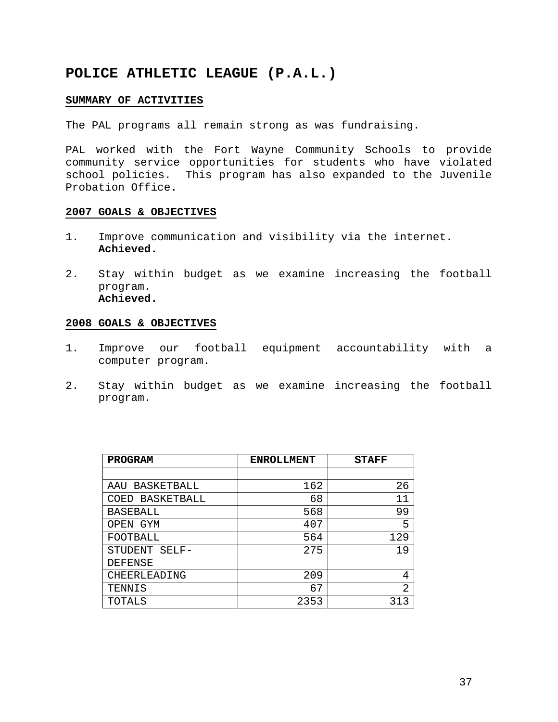## **POLICE ATHLETIC LEAGUE (P.A.L.)**

### **SUMMARY OF ACTIVITIES**

The PAL programs all remain strong as was fundraising.

PAL worked with the Fort Wayne Community Schools to provide community service opportunities for students who have violated school policies. This program has also expanded to the Juvenile Probation Office.

### **2007 GOALS & OBJECTIVES**

- 1. Improve communication and visibility via the internet. **Achieved.**
- 2. Stay within budget as we examine increasing the football program. **Achieved.**

- 1. Improve our football equipment accountability with a computer program.
- 2. Stay within budget as we examine increasing the football program.

| <b>PROGRAM</b>     | <b>ENROLLMENT</b> | <b>STAFF</b>   |
|--------------------|-------------------|----------------|
|                    |                   |                |
| BASKETBALL<br>AAU  | 162               | 26             |
| BASKETBALL<br>COED | 68                | 11             |
| <b>BASEBALL</b>    | 568               | 99             |
| OPEN GYM           | 407               | 5              |
| FOOTBALL           | 564               | 129            |
| STUDENT<br>$SELF-$ | 275               | 19             |
| <b>DEFENSE</b>     |                   |                |
| CHEERLEADING       | 209               | 4              |
| TENNIS             | 67                | $\overline{2}$ |
| TOTALS             | 2353              | 313            |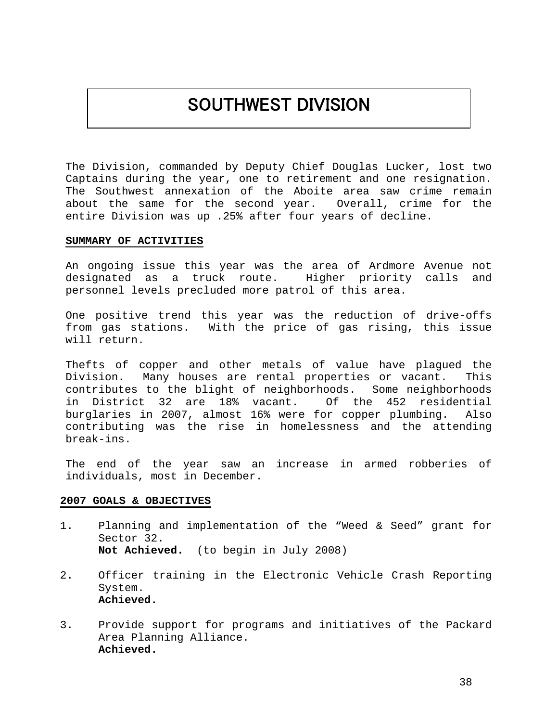# SOUTHWEST DIVISION

The Division, commanded by Deputy Chief Douglas Lucker, lost two Captains during the year, one to retirement and one resignation. The Southwest annexation of the Aboite area saw crime remain about the same for the second year. Overall, crime for the entire Division was up .25% after four years of decline.

### **SUMMARY OF ACTIVITIES**

An ongoing issue this year was the area of Ardmore Avenue not designated as a truck route. Higher priority calls and personnel levels precluded more patrol of this area.

One positive trend this year was the reduction of drive-offs from gas stations. With the price of gas rising, this issue will return.

Thefts of copper and other metals of value have plagued the Division. Many houses are rental properties or vacant. This contributes to the blight of neighborhoods. Some neighborhoods in District 32 are 18% vacant. Of the 452 residential burglaries in 2007, almost 16% were for copper plumbing. Also contributing was the rise in homelessness and the attending break-ins.

The end of the year saw an increase in armed robberies of individuals, most in December.

- 1. Planning and implementation of the "Weed & Seed" grant for Sector 32. **Not Achieved.** (to begin in July 2008)
- 2. Officer training in the Electronic Vehicle Crash Reporting System. **Achieved.**
- 3. Provide support for programs and initiatives of the Packard Area Planning Alliance. **Achieved.**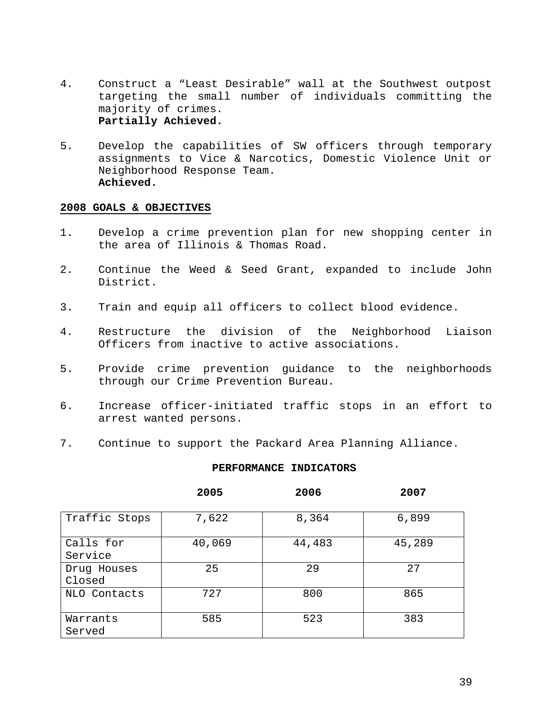- 4. Construct a "Least Desirable" wall at the Southwest outpost targeting the small number of individuals committing the majority of crimes. **Partially Achieved.**
- 5. Develop the capabilities of SW officers through temporary assignments to Vice & Narcotics, Domestic Violence Unit or Neighborhood Response Team. **Achieved.**

- 1. Develop a crime prevention plan for new shopping center in the area of Illinois & Thomas Road.
- 2. Continue the Weed & Seed Grant, expanded to include John District.
- 3. Train and equip all officers to collect blood evidence.
- 4. Restructure the division of the Neighborhood Liaison Officers from inactive to active associations.
- 5. Provide crime prevention guidance to the neighborhoods through our Crime Prevention Bureau.
- 6. Increase officer-initiated traffic stops in an effort to arrest wanted persons.
- 7. Continue to support the Packard Area Planning Alliance.

### **PERFORMANCE INDICATORS**

**2005 2006 2007** 

| Traffic Stops         | 7,622  | 8,364  | 6,899  |
|-----------------------|--------|--------|--------|
| Calls for<br>Service  | 40,069 | 44,483 | 45,289 |
| Drug Houses<br>Closed | 25     | 29     | 27     |
| NLO Contacts          | 727    | 800    | 865    |
| Warrants<br>Served    | 585    | 523    | 383    |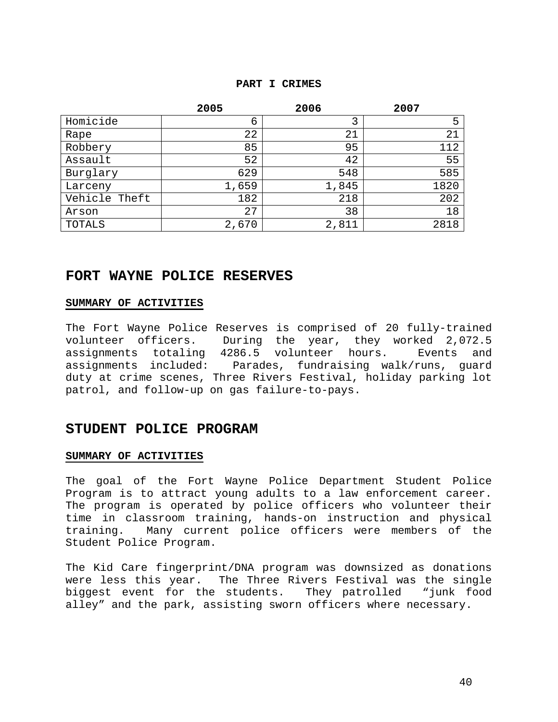### **PART I CRIMES**

|               | 2005  | 2006  | 2007 |
|---------------|-------|-------|------|
| Homicide      | 6     | 3     | 5    |
| Rape          | 22    | 21    | 21   |
| Robbery       | 85    | 95    | 112  |
| Assault       | 52    | 42    | 55   |
| Burglary      | 629   | 548   | 585  |
| Larceny       | 1,659 | 1,845 | 1820 |
| Vehicle Theft | 182   | 218   | 202  |
| Arson         | 27    | 38    | 18   |
| TOTALS        | 2,670 | 2,811 | 2818 |

## **FORT WAYNE POLICE RESERVES**

### **SUMMARY OF ACTIVITIES**

The Fort Wayne Police Reserves is comprised of 20 fully-trained volunteer officers. During the year, they worked 2,072.5 assignments totaling 4286.5 volunteer hours. Events and assignments included: Parades, fundraising walk/runs, guard duty at crime scenes, Three Rivers Festival, holiday parking lot patrol, and follow-up on gas failure-to-pays.

### **STUDENT POLICE PROGRAM**

### **SUMMARY OF ACTIVITIES**

The goal of the Fort Wayne Police Department Student Police Program is to attract young adults to a law enforcement career. The program is operated by police officers who volunteer their time in classroom training, hands-on instruction and physical training. Many current police officers were members of the Student Police Program.

The Kid Care fingerprint/DNA program was downsized as donations were less this year. The Three Rivers Festival was the single biggest event for the students. They patrolled "junk food alley" and the park, assisting sworn officers where necessary.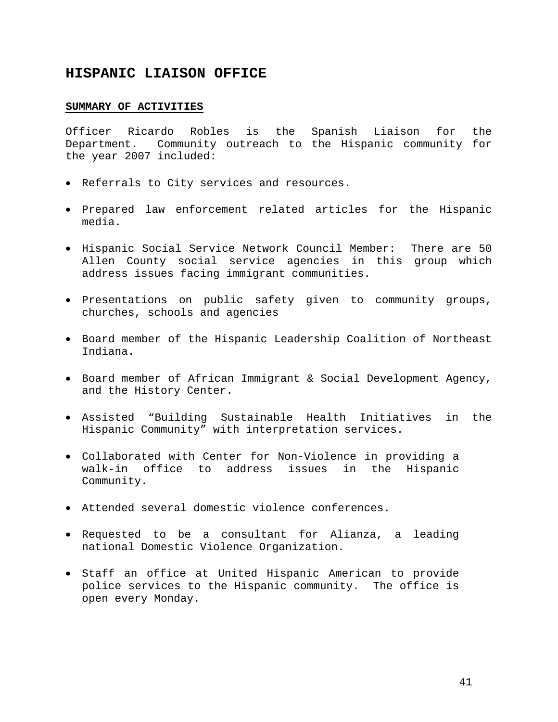## **HISPANIC LIAISON OFFICE**

### **SUMMARY OF ACTIVITIES**

Officer Ricardo Robles is the Spanish Liaison for the Department. Community outreach to the Hispanic community for the year 2007 included:

- Referrals to City services and resources.
- Prepared law enforcement related articles for the Hispanic media.
- Hispanic Social Service Network Council Member: There are 50 Allen County social service agencies in this group which address issues facing immigrant communities.
- Presentations on public safety given to community groups, churches, schools and agencies
- Board member of the Hispanic Leadership Coalition of Northeast Indiana.
- Board member of African Immigrant & Social Development Agency, and the History Center.
- Assisted "Building Sustainable Health Initiatives in the Hispanic Community" with interpretation services.
- Collaborated with Center for Non-Violence in providing a walk-in office to address issues in the Hispanic Community.
- Attended several domestic violence conferences.
- Requested to be a consultant for Alianza, a leading national Domestic Violence Organization.
- Staff an office at United Hispanic American to provide police services to the Hispanic community. The office is open every Monday.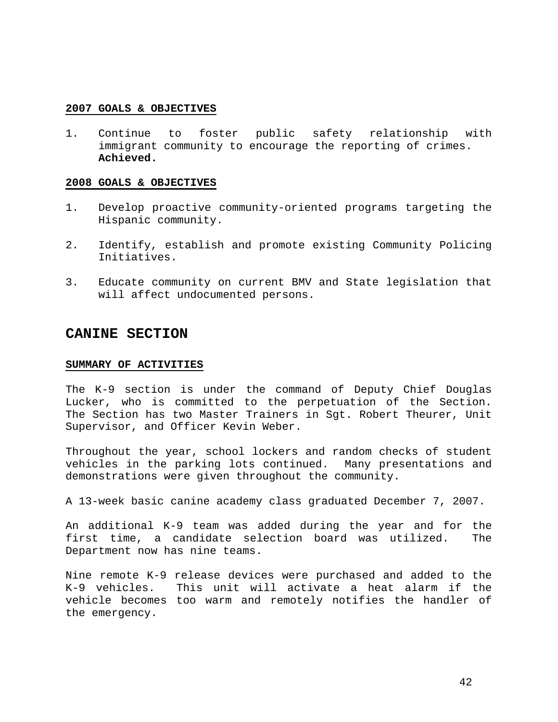1. Continue to foster public safety relationship with immigrant community to encourage the reporting of crimes. **Achieved.** 

### **2008 GOALS & OBJECTIVES**

- 1. Develop proactive community-oriented programs targeting the Hispanic community.
- 2. Identify, establish and promote existing Community Policing Initiatives.
- 3. Educate community on current BMV and State legislation that will affect undocumented persons.

### **CANINE SECTION**

### **SUMMARY OF ACTIVITIES**

The K-9 section is under the command of Deputy Chief Douglas Lucker, who is committed to the perpetuation of the Section. The Section has two Master Trainers in Sgt. Robert Theurer, Unit Supervisor, and Officer Kevin Weber.

Throughout the year, school lockers and random checks of student vehicles in the parking lots continued. Many presentations and demonstrations were given throughout the community.

A 13-week basic canine academy class graduated December 7, 2007.

An additional K-9 team was added during the year and for the first time, a candidate selection board was utilized. The Department now has nine teams.

Nine remote K-9 release devices were purchased and added to the K-9 vehicles. This unit will activate a heat alarm if the vehicle becomes too warm and remotely notifies the handler of the emergency.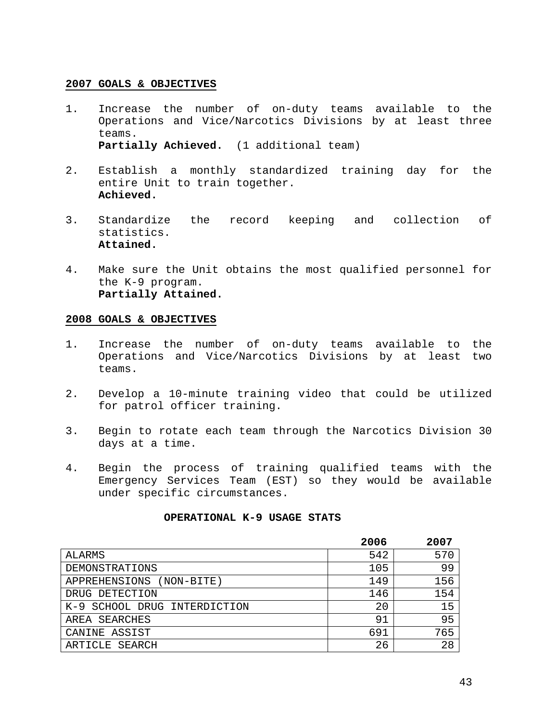- 1. Increase the number of on-duty teams available to the Operations and Vice/Narcotics Divisions by at least three teams. **Partially Achieved.** (1 additional team)
- 2. Establish a monthly standardized training day for the entire Unit to train together. **Achieved.**
- 3. Standardize the record keeping and collection of statistics. **Attained.**
- 4. Make sure the Unit obtains the most qualified personnel for the K-9 program. **Partially Attained.**

### **2008 GOALS & OBJECTIVES**

- 1. Increase the number of on-duty teams available to the Operations and Vice/Narcotics Divisions by at least two teams.
- 2. Develop a 10-minute training video that could be utilized for patrol officer training.
- 3. Begin to rotate each team through the Narcotics Division 30 days at a time.
- 4. Begin the process of training qualified teams with the Emergency Services Team (EST) so they would be available under specific circumstances.

### **OPERATIONAL K-9 USAGE STATS**

|                                 | 2006 | 2007 |
|---------------------------------|------|------|
| ALARMS                          | 542  | 570  |
| DEMONSTRATIONS                  | 105  | 99   |
| (NON-BITE)<br>APPREHENSIONS     | 149  | 156  |
| DRUG DETECTION                  | 146  | 154  |
| SCHOOL DRUG INTERDICTION<br>K-9 | 20   | 15   |
| AREA SEARCHES                   | 91   | 95   |
| CANINE ASSIST                   | 691  | 765  |
| ARTICLE SEARCH                  | 26   | 28   |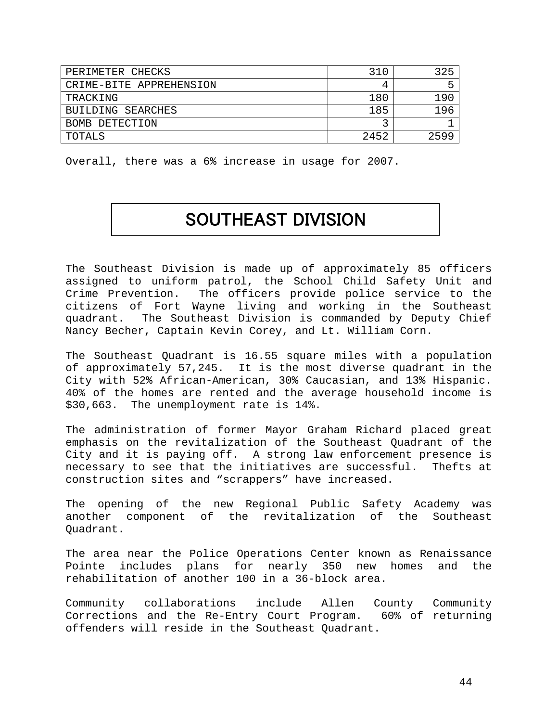| PERIMETER CHECKS        | 310  | 325  |
|-------------------------|------|------|
| CRIME-BITE APPREHENSION |      |      |
| TRACKING                | 180  | 190  |
| BUILDING SEARCHES       | 185  | 196  |
| BOMB DETECTION          |      |      |
| TOTALS                  | 2452 | 2599 |

Overall, there was a 6% increase in usage for 2007.

# SOUTHEAST DIVISION

The Southeast Division is made up of approximately 85 officers assigned to uniform patrol, the School Child Safety Unit and Crime Prevention. The officers provide police service to the citizens of Fort Wayne living and working in the Southeast quadrant. The Southeast Division is commanded by Deputy Chief Nancy Becher, Captain Kevin Corey, and Lt. William Corn.

The Southeast Quadrant is 16.55 square miles with a population of approximately 57,245. It is the most diverse quadrant in the City with 52% African-American, 30% Caucasian, and 13% Hispanic. 40% of the homes are rented and the average household income is \$30,663. The unemployment rate is 14%.

The administration of former Mayor Graham Richard placed great emphasis on the revitalization of the Southeast Quadrant of the City and it is paying off. A strong law enforcement presence is necessary to see that the initiatives are successful. Thefts at construction sites and "scrappers" have increased.

The opening of the new Regional Public Safety Academy was another component of the revitalization of the Southeast Quadrant.

The area near the Police Operations Center known as Renaissance Pointe includes plans for nearly 350 new homes and the rehabilitation of another 100 in a 36-block area.

Community collaborations include Allen County Community Corrections and the Re-Entry Court Program. 60% of returning offenders will reside in the Southeast Quadrant.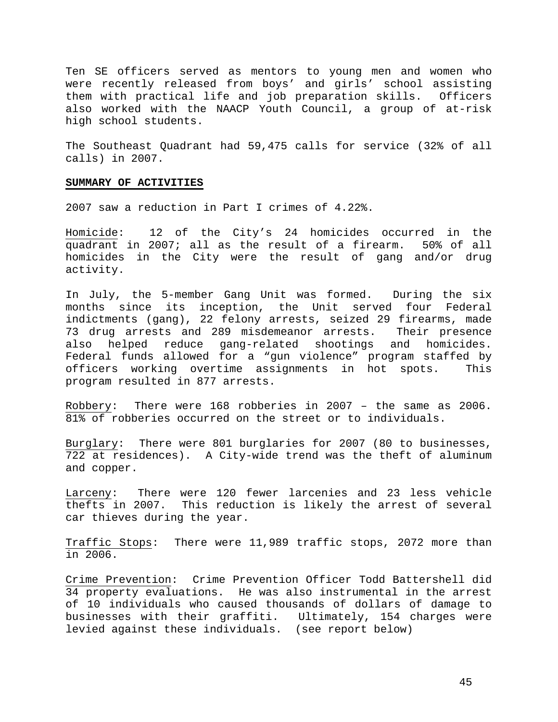Ten SE officers served as mentors to young men and women who were recently released from boys' and girls' school assisting them with practical life and job preparation skills. Officers also worked with the NAACP Youth Council, a group of at-risk high school students.

The Southeast Quadrant had 59,475 calls for service (32% of all calls) in 2007.

#### **SUMMARY OF ACTIVITIES**

2007 saw a reduction in Part I crimes of 4.22%.

Homicide: 12 of the City's 24 homicides occurred in the quadrant in 2007; all as the result of a firearm. 50% of all homicides in the City were the result of gang and/or drug activity.

In July, the 5-member Gang Unit was formed. During the six months since its inception, the Unit served four Federal indictments (gang), 22 felony arrests, seized 29 firearms, made 73 drug arrests and 289 misdemeanor arrests. Their presence also helped reduce gang-related shootings and homicides. Federal funds allowed for a "gun violence" program staffed by officers working overtime assignments in hot spots. This program resulted in 877 arrests.

Robbery: There were 168 robberies in 2007 – the same as 2006. 81% of robberies occurred on the street or to individuals.

Burglary: There were 801 burglaries for 2007 (80 to businesses, 722 at residences). A City-wide trend was the theft of aluminum and copper.

Larceny: There were 120 fewer larcenies and 23 less vehicle thefts in 2007. This reduction is likely the arrest of several car thieves during the year.

Traffic Stops: There were 11,989 traffic stops, 2072 more than in 2006.

Crime Prevention: Crime Prevention Officer Todd Battershell did 34 property evaluations. He was also instrumental in the arrest of 10 individuals who caused thousands of dollars of damage to businesses with their graffiti. Ultimately, 154 charges were levied against these individuals. (see report below)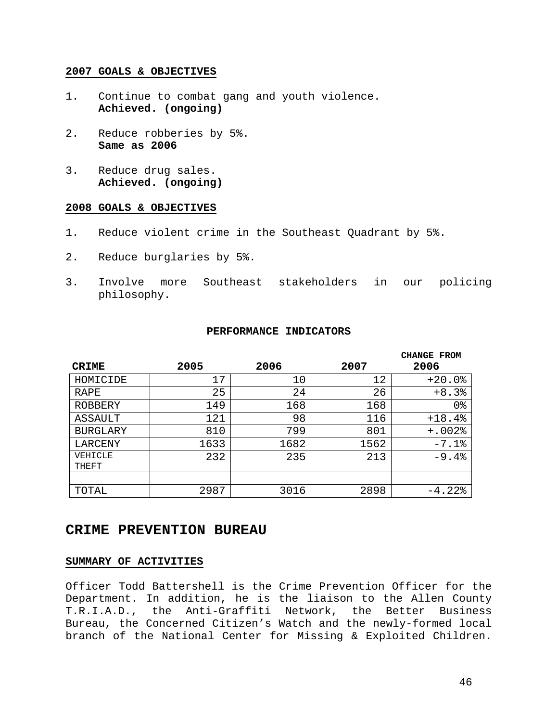- 1. Continue to combat gang and youth violence. **Achieved. (ongoing)**
- 2. Reduce robberies by 5%. **Same as 2006**
- 3. Reduce drug sales. **Achieved. (ongoing)**

### **2008 GOALS & OBJECTIVES**

- 1. Reduce violent crime in the Southeast Quadrant by 5%.
- 2. Reduce burglaries by 5%.
- 3. Involve more Southeast stakeholders in our policing philosophy.

### **PERFORMANCE INDICATORS**

| <b>CRIME</b>     | 2005 | 2006 | 2007 | <b>CHANGE FROM</b><br>2006 |
|------------------|------|------|------|----------------------------|
| HOMICIDE         | 17   | 10   | 12   | $+20.0$ %                  |
| <b>RAPE</b>      | 25   | 24   | 26   | $+8.3%$                    |
| ROBBERY          | 149  | 168  | 168  | 0 <sub>8</sub>             |
| ASSAULT          | 121  | 98   | 116  | $+18.4%$                   |
| <b>BURGLARY</b>  | 810  | 799  | 801  | $+.002$ %                  |
| LARCENY          | 1633 | 1682 | 1562 | $-7.1$ %                   |
| VEHICLE<br>THEFT | 232  | 235  | 213  | $-9.4%$                    |
|                  |      |      |      |                            |
| TOTAL            | 2987 | 3016 | 2898 | $-4.22$ $8$                |

### **CRIME PREVENTION BUREAU**

### **SUMMARY OF ACTIVITIES**

Officer Todd Battershell is the Crime Prevention Officer for the Department. In addition, he is the liaison to the Allen County T.R.I.A.D., the Anti-Graffiti Network, the Better Business Bureau, the Concerned Citizen's Watch and the newly-formed local branch of the National Center for Missing & Exploited Children.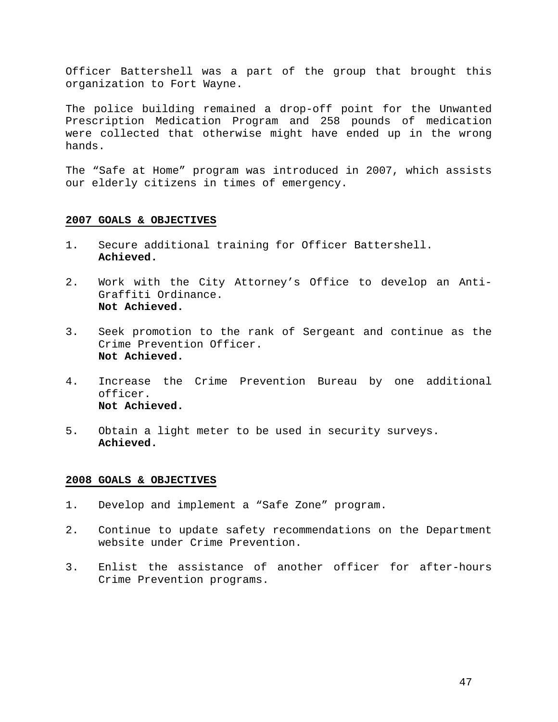Officer Battershell was a part of the group that brought this organization to Fort Wayne.

The police building remained a drop-off point for the Unwanted Prescription Medication Program and 258 pounds of medication were collected that otherwise might have ended up in the wrong hands.

The "Safe at Home" program was introduced in 2007, which assists our elderly citizens in times of emergency.

### **2007 GOALS & OBJECTIVES**

- 1. Secure additional training for Officer Battershell. **Achieved.**
- 2. Work with the City Attorney's Office to develop an Anti-Graffiti Ordinance. **Not Achieved.**
- 3. Seek promotion to the rank of Sergeant and continue as the Crime Prevention Officer. **Not Achieved.**
- 4. Increase the Crime Prevention Bureau by one additional officer. **Not Achieved.**
- 5. Obtain a light meter to be used in security surveys. **Achieved.**

- 1. Develop and implement a "Safe Zone" program.
- 2. Continue to update safety recommendations on the Department website under Crime Prevention.
- 3. Enlist the assistance of another officer for after-hours Crime Prevention programs.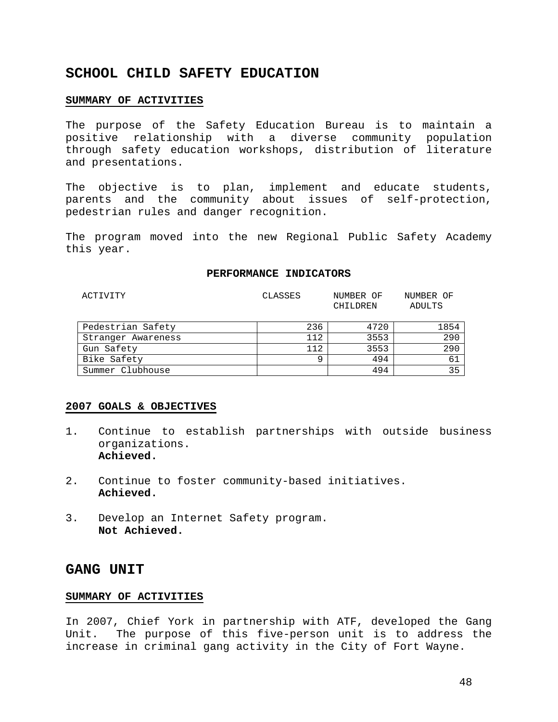## **SCHOOL CHILD SAFETY EDUCATION**

### **SUMMARY OF ACTIVITIES**

The purpose of the Safety Education Bureau is to maintain a positive relationship with a diverse community population through safety education workshops, distribution of literature and presentations.

The objective is to plan, implement and educate students, parents and the community about issues of self-protection, pedestrian rules and danger recognition.

The program moved into the new Regional Public Safety Academy this year.

#### **PERFORMANCE INDICATORS**

| ACTIVITY           | CLASSES | NUMBER OF<br>CHILDREN | NUMBER OF<br>ADULTS |
|--------------------|---------|-----------------------|---------------------|
| Pedestrian Safety  | 236     | 4720                  | 1854                |
| Stranger Awareness | 112     | 3553                  | 290                 |
| Gun Safety         | 112     | 3553                  | 290                 |
| Bike Safety        | q       | 494                   | 61                  |
| Summer Clubhouse   |         | 494                   | 35                  |

### **2007 GOALS & OBJECTIVES**

- 1. Continue to establish partnerships with outside business organizations. **Achieved.**
- 2. Continue to foster community-based initiatives. **Achieved.**
- 3. Develop an Internet Safety program. **Not Achieved.**

### **GANG UNIT**

### **SUMMARY OF ACTIVITIES**

In 2007, Chief York in partnership with ATF, developed the Gang Unit. The purpose of this five-person unit is to address the increase in criminal gang activity in the City of Fort Wayne.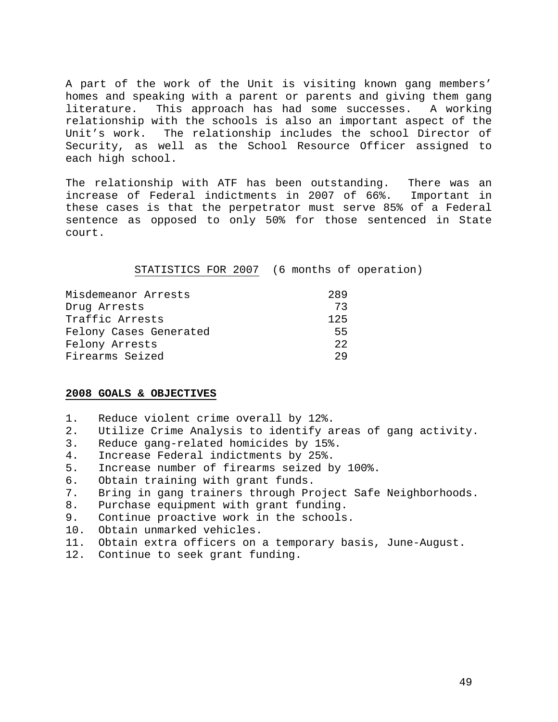A part of the work of the Unit is visiting known gang members' homes and speaking with a parent or parents and giving them gang literature. This approach has had some successes. A working relationship with the schools is also an important aspect of the Unit's work. The relationship includes the school Director of Security, as well as the School Resource Officer assigned to each high school.

The relationship with ATF has been outstanding. There was an increase of Federal indictments in 2007 of 66%. Important in these cases is that the perpetrator must serve 85% of a Federal sentence as opposed to only 50% for those sentenced in State court.

STATISTICS FOR 2007 (6 months of operation)

| Misdemeanor Arrests    | 289 |
|------------------------|-----|
| Drug Arrests           | 73  |
| Traffic Arrests        | 125 |
| Felony Cases Generated | 55  |
| Felony Arrests         | 22  |
| Firearms Seized        | つり  |

- 1. Reduce violent crime overall by 12%.
- 2. Utilize Crime Analysis to identify areas of gang activity.
- 3. Reduce gang-related homicides by 15%.
- 4. Increase Federal indictments by 25%.
- 5. Increase number of firearms seized by 100%.
- 6. Obtain training with grant funds.
- 7. Bring in gang trainers through Project Safe Neighborhoods.
- 8. Purchase equipment with grant funding.
- 9. Continue proactive work in the schools.
- 10. Obtain unmarked vehicles.
- 11. Obtain extra officers on a temporary basis, June-August.
- 12. Continue to seek grant funding.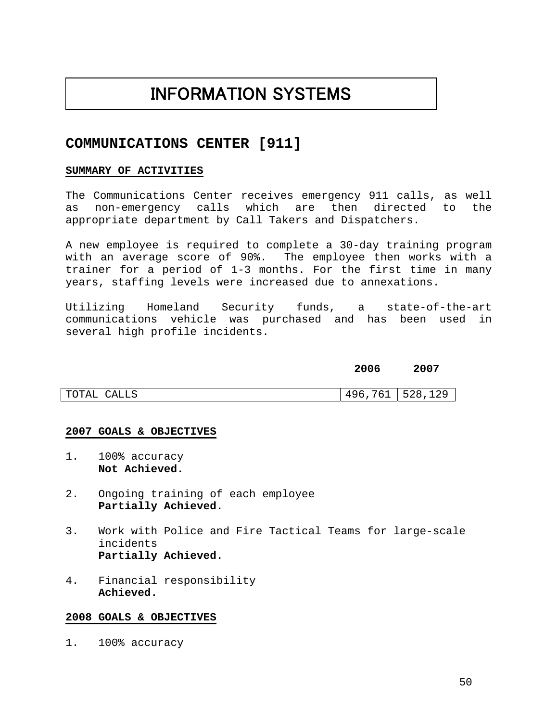# INFORMATION SYSTEMS

## **COMMUNICATIONS CENTER [911]**

### **SUMMARY OF ACTIVITIES**

The Communications Center receives emergency 911 calls, as well as non-emergency calls which are then directed to the appropriate department by Call Takers and Dispatchers.

A new employee is required to complete a 30-day training program with an average score of 90%. The employee then works with a trainer for a period of 1-3 months. For the first time in many years, staffing levels were increased due to annexations.

Utilizing Homeland Security funds, a state-of-the-art communications vehicle was purchased and has been used in several high profile incidents.

## **2006 2007**

| CALLS<br>TOTAL | 761<br>496 | 528,129 |
|----------------|------------|---------|

### **2007 GOALS & OBJECTIVES**

- 1. 100% accuracy **Not Achieved.**
- 2. Ongoing training of each employee **Partially Achieved.**
- 3. Work with Police and Fire Tactical Teams for large-scale incidents **Partially Achieved.**
- 4. Financial responsibility **Achieved.**

### **2008 GOALS & OBJECTIVES**

1. 100% accuracy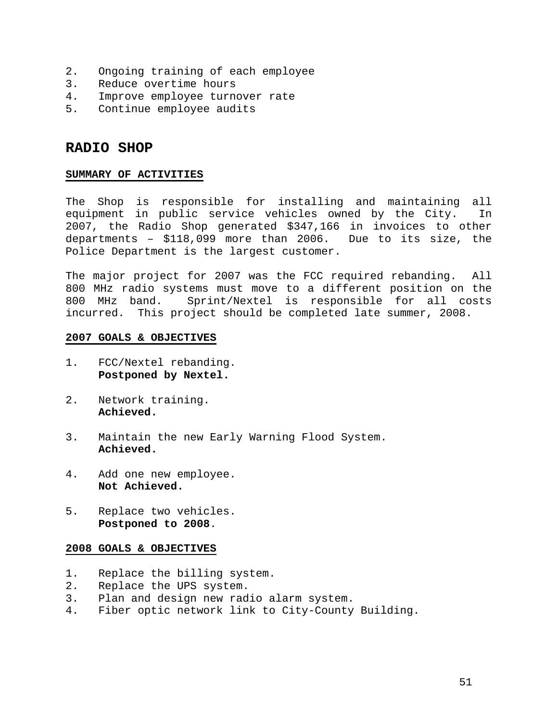- 2. Ongoing training of each employee
- 3. Reduce overtime hours
- 4. Improve employee turnover rate
- 5. Continue employee audits

## **RADIO SHOP**

### **SUMMARY OF ACTIVITIES**

The Shop is responsible for installing and maintaining all equipment in public service vehicles owned by the City. In 2007, the Radio Shop generated \$347,166 in invoices to other departments – \$118,099 more than 2006. Due to its size, the Police Department is the largest customer.

The major project for 2007 was the FCC required rebanding. All 800 MHz radio systems must move to a different position on the 800 MHz band. Sprint/Nextel is responsible for all costs incurred. This project should be completed late summer, 2008.

### **2007 GOALS & OBJECTIVES**

- 1. FCC/Nextel rebanding. **Postponed by Nextel.**
- 2. Network training. **Achieved.**
- 3. Maintain the new Early Warning Flood System. **Achieved.**
- 4. Add one new employee. **Not Achieved.**
- 5. Replace two vehicles. **Postponed to 2008**.

- 1. Replace the billing system.
- 2. Replace the UPS system.
- 3. Plan and design new radio alarm system.
- 4. Fiber optic network link to City-County Building.